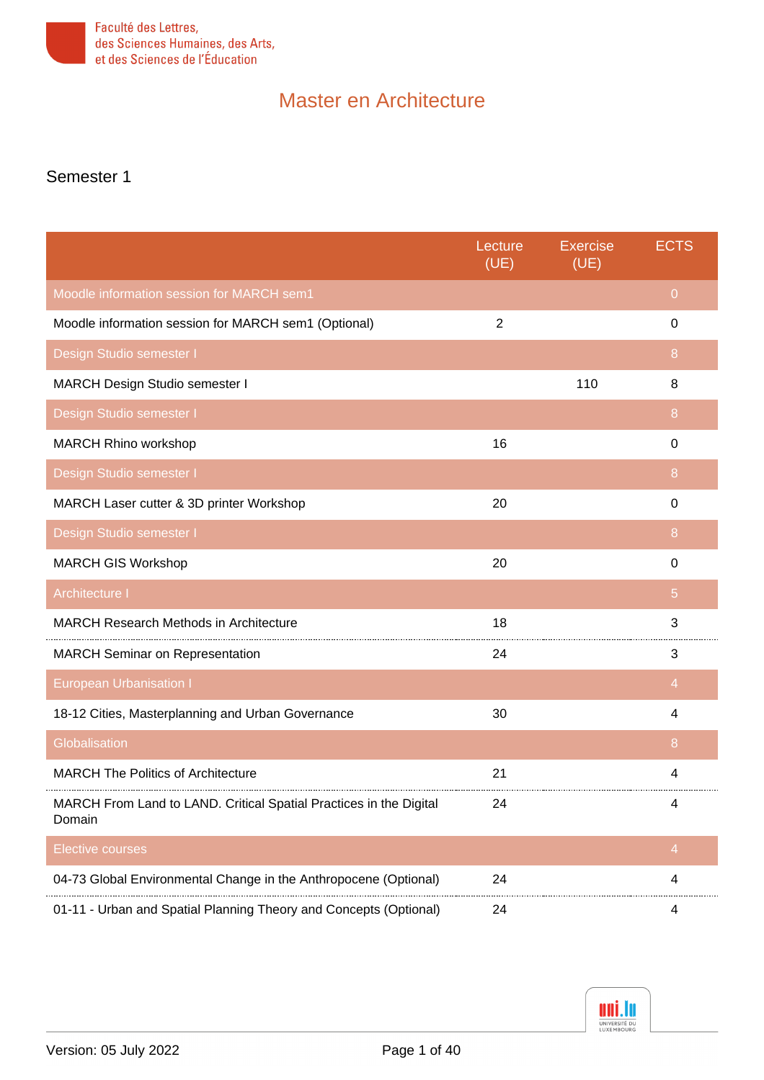

#### Semester 1

<span id="page-0-9"></span><span id="page-0-8"></span><span id="page-0-7"></span><span id="page-0-6"></span><span id="page-0-5"></span><span id="page-0-4"></span><span id="page-0-3"></span><span id="page-0-2"></span><span id="page-0-1"></span><span id="page-0-0"></span>

|                                                                              | Lecture<br>(UE) | <b>Exercise</b><br>(UE) | <b>ECTS</b>    |
|------------------------------------------------------------------------------|-----------------|-------------------------|----------------|
| Moodle information session for MARCH sem1                                    |                 |                         | $\overline{0}$ |
| Moodle information session for MARCH sem1 (Optional)                         | $\overline{2}$  |                         | 0              |
| Design Studio semester I                                                     |                 |                         | 8              |
| MARCH Design Studio semester I                                               |                 | 110                     | 8              |
| Design Studio semester I                                                     |                 |                         | 8              |
| MARCH Rhino workshop                                                         | 16              |                         | $\Omega$       |
| Design Studio semester I                                                     |                 |                         | 8              |
| MARCH Laser cutter & 3D printer Workshop                                     | 20              |                         | $\Omega$       |
| Design Studio semester I                                                     |                 |                         | 8              |
| <b>MARCH GIS Workshop</b>                                                    | 20              |                         | $\Omega$       |
| Architecture I                                                               |                 |                         | 5              |
| <b>MARCH Research Methods in Architecture</b>                                | 18              |                         | 3              |
| <b>MARCH Seminar on Representation</b>                                       | 24              |                         | 3              |
| <b>European Urbanisation I</b>                                               |                 |                         | $\overline{4}$ |
| 18-12 Cities, Masterplanning and Urban Governance                            | 30              |                         | 4              |
| Globalisation                                                                |                 |                         | 8              |
| <b>MARCH The Politics of Architecture</b>                                    | 21              |                         | 4              |
| MARCH From Land to LAND. Critical Spatial Practices in the Digital<br>Domain | 24              |                         | Δ              |
| <b>Elective courses</b>                                                      |                 |                         | $\overline{4}$ |
| 04-73 Global Environmental Change in the Anthropocene (Optional)             | 24              |                         | 4              |
| 01-11 - Urban and Spatial Planning Theory and Concepts (Optional)            | 24              |                         | 4              |

<span id="page-0-11"></span><span id="page-0-10"></span>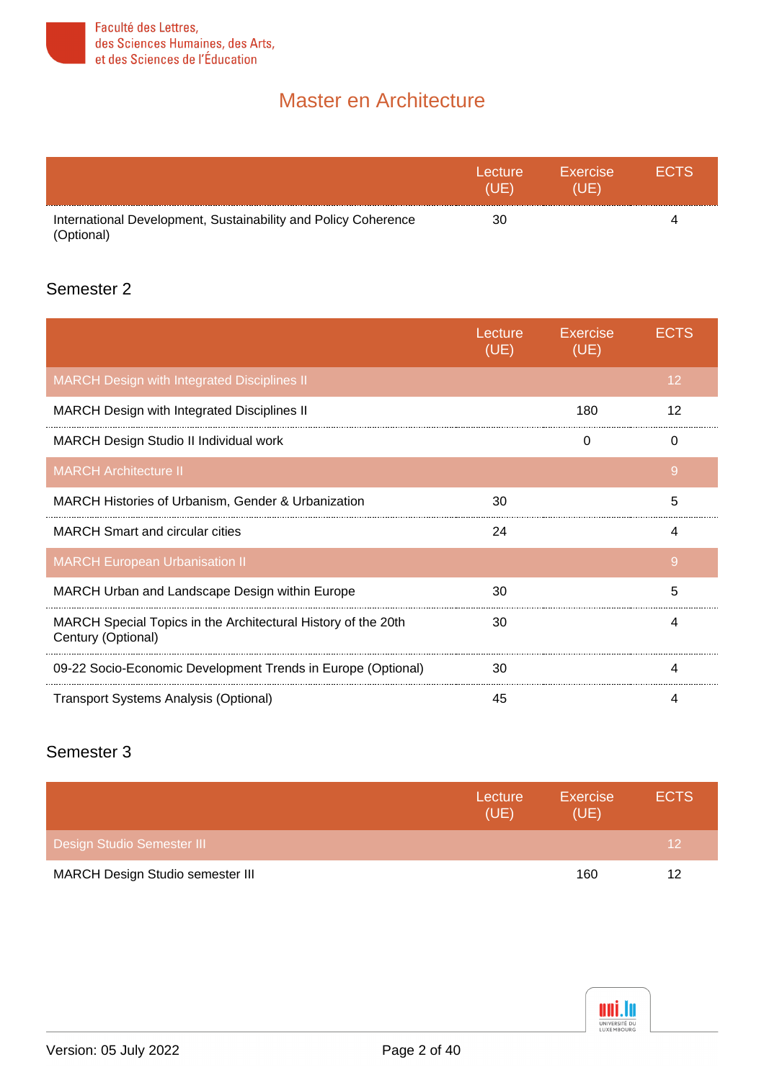

<span id="page-1-0"></span>

|                                                                              | Lecture<br>(I IF) | Exercise<br>(UE) | <b>FCTS</b> |
|------------------------------------------------------------------------------|-------------------|------------------|-------------|
| International Development, Sustainability and Policy Coherence<br>(Optional) | 30                |                  | 4           |

#### Semester 2

<span id="page-1-4"></span><span id="page-1-3"></span><span id="page-1-2"></span><span id="page-1-1"></span>

|                                                                                     | Lecture<br>(UE) | <b>Exercise</b><br>(UE) | ECTS |
|-------------------------------------------------------------------------------------|-----------------|-------------------------|------|
| <b>MARCH Design with Integrated Disciplines II</b>                                  |                 |                         | 12   |
| <b>MARCH Design with Integrated Disciplines II</b>                                  |                 | 180                     | 12   |
| MARCH Design Studio II Individual work                                              |                 | 0                       | 0    |
| <b>MARCH Architecture II</b>                                                        |                 |                         | 9    |
| MARCH Histories of Urbanism, Gender & Urbanization                                  | 30              |                         | 5    |
| <b>MARCH Smart and circular cities</b>                                              | 24              |                         | 4    |
| <b>MARCH European Urbanisation II</b>                                               |                 |                         | 9    |
| MARCH Urban and Landscape Design within Europe                                      | 30              |                         | 5    |
| MARCH Special Topics in the Architectural History of the 20th<br>Century (Optional) | 30              |                         | 4    |
| 09-22 Socio-Economic Development Trends in Europe (Optional)                        | 30              |                         | 4    |
| <b>Transport Systems Analysis (Optional)</b>                                        | 45              |                         | 4    |

#### <span id="page-1-8"></span><span id="page-1-7"></span><span id="page-1-6"></span><span id="page-1-5"></span>Semester 3

<span id="page-1-9"></span>

|                                  | Lecture<br>(UE) | <b>Exercise</b><br>(UE) | <b>ECTS</b> |
|----------------------------------|-----------------|-------------------------|-------------|
| Design Studio Semester III       |                 |                         | 12          |
| MARCH Design Studio semester III |                 | 160                     | 12          |

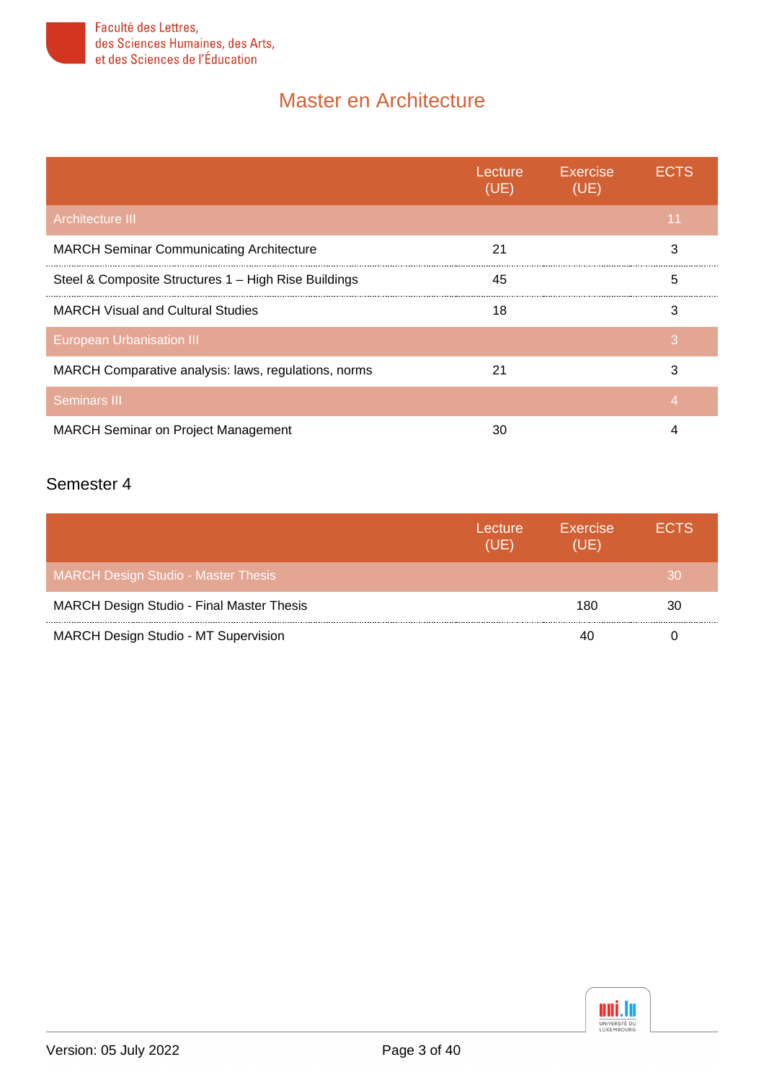

<span id="page-2-2"></span><span id="page-2-1"></span><span id="page-2-0"></span>

|                                                      | Lecture<br>(UE) | Exercise<br>(UE) | FCTS |
|------------------------------------------------------|-----------------|------------------|------|
| <b>Architecture III</b>                              |                 |                  | 11   |
| <b>MARCH Seminar Communicating Architecture</b>      | 21              |                  | 3    |
| Steel & Composite Structures 1 - High Rise Buildings | 45              |                  | 5    |
| <b>MARCH Visual and Cultural Studies</b>             | 18              |                  | 3    |
| <b>European Urbanisation III</b>                     |                 |                  | 3    |
| MARCH Comparative analysis: laws, regulations, norms | 21              |                  | 3    |
| <b>Seminars III</b>                                  |                 |                  | 4    |
| <b>MARCH Seminar on Project Management</b>           | 30              |                  | 4    |

#### <span id="page-2-4"></span><span id="page-2-3"></span>Semester 4

<span id="page-2-6"></span><span id="page-2-5"></span>

|                                                  | Lecture<br>(UE) | Exercise<br>(UE) | <b>ECTS</b> |
|--------------------------------------------------|-----------------|------------------|-------------|
| <b>MARCH Design Studio - Master Thesis</b>       |                 |                  | 30          |
| <b>MARCH Design Studio - Final Master Thesis</b> |                 | 180              | 30          |
| <b>MARCH Design Studio - MT Supervision</b>      |                 |                  |             |

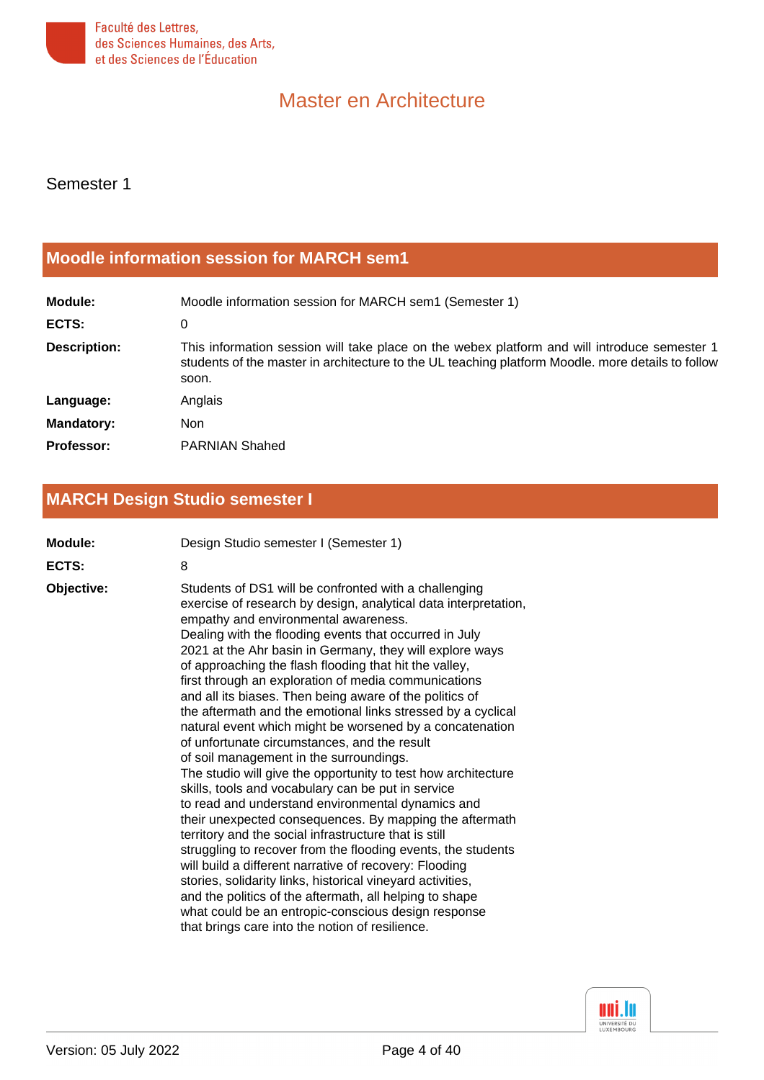

Semester 1

#### <span id="page-3-0"></span>**[Moodle information session for MARCH sem1](#page-0-0)**

| Module:             | Moodle information session for MARCH sem1 (Semester 1)                                                                                                                                                     |
|---------------------|------------------------------------------------------------------------------------------------------------------------------------------------------------------------------------------------------------|
| ECTS:               | 0                                                                                                                                                                                                          |
| <b>Description:</b> | This information session will take place on the webex platform and will introduce semester 1<br>students of the master in architecture to the UL teaching platform Moodle. more details to follow<br>soon. |
| Language:           | Anglais                                                                                                                                                                                                    |
| <b>Mandatory:</b>   | Non                                                                                                                                                                                                        |
| <b>Professor:</b>   | <b>PARNIAN Shahed</b>                                                                                                                                                                                      |

### <span id="page-3-1"></span>**[MARCH Design Studio semester I](#page-0-1)**

| Module:    | Design Studio semester I (Semester 1)                                                                                                                                                                                                                                                                                                                                                                                                                                                                                                                                                                                                                                                                                                                                                                                                                                                                                                                                                                                                                                                                                                                                                                                                                                                                                                                   |
|------------|---------------------------------------------------------------------------------------------------------------------------------------------------------------------------------------------------------------------------------------------------------------------------------------------------------------------------------------------------------------------------------------------------------------------------------------------------------------------------------------------------------------------------------------------------------------------------------------------------------------------------------------------------------------------------------------------------------------------------------------------------------------------------------------------------------------------------------------------------------------------------------------------------------------------------------------------------------------------------------------------------------------------------------------------------------------------------------------------------------------------------------------------------------------------------------------------------------------------------------------------------------------------------------------------------------------------------------------------------------|
| ECTS:      | 8                                                                                                                                                                                                                                                                                                                                                                                                                                                                                                                                                                                                                                                                                                                                                                                                                                                                                                                                                                                                                                                                                                                                                                                                                                                                                                                                                       |
| Objective: | Students of DS1 will be confronted with a challenging<br>exercise of research by design, analytical data interpretation,<br>empathy and environmental awareness.<br>Dealing with the flooding events that occurred in July<br>2021 at the Ahr basin in Germany, they will explore ways<br>of approaching the flash flooding that hit the valley,<br>first through an exploration of media communications<br>and all its biases. Then being aware of the politics of<br>the aftermath and the emotional links stressed by a cyclical<br>natural event which might be worsened by a concatenation<br>of unfortunate circumstances, and the result<br>of soil management in the surroundings.<br>The studio will give the opportunity to test how architecture<br>skills, tools and vocabulary can be put in service<br>to read and understand environmental dynamics and<br>their unexpected consequences. By mapping the aftermath<br>territory and the social infrastructure that is still<br>struggling to recover from the flooding events, the students<br>will build a different narrative of recovery: Flooding<br>stories, solidarity links, historical vineyard activities,<br>and the politics of the aftermath, all helping to shape<br>what could be an entropic-conscious design response<br>that brings care into the notion of resilience. |

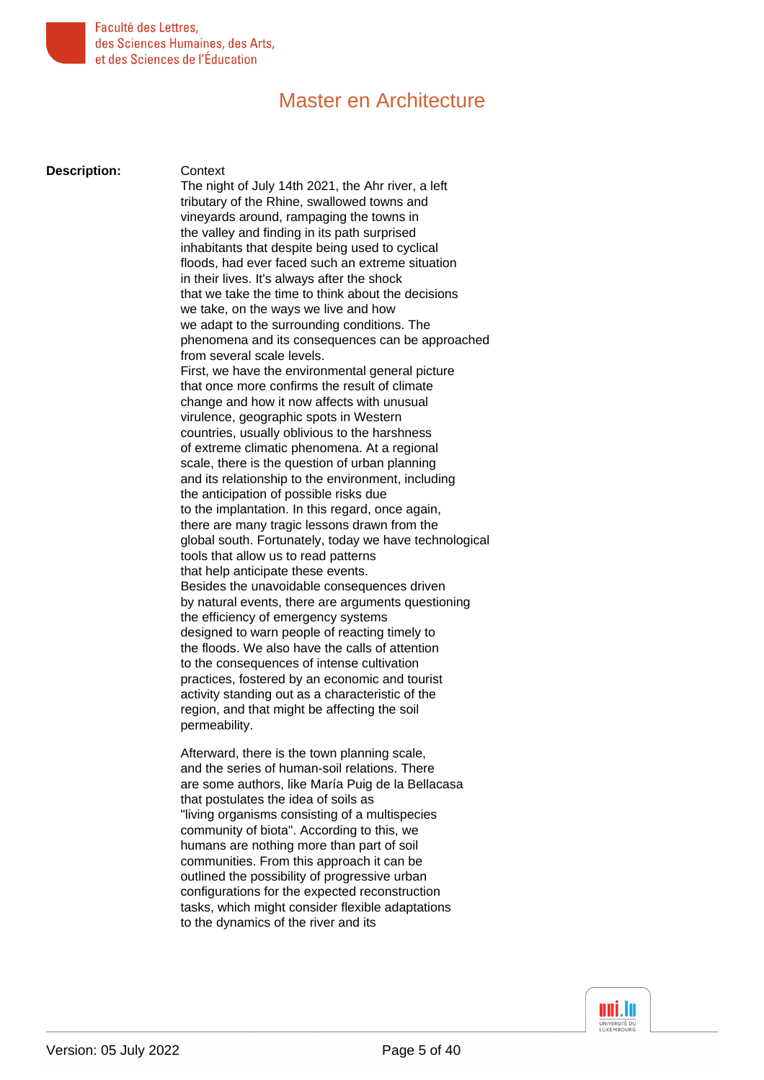

**Description:** Context

The night of July 14th 2021, the Ahr river, a left tributary of the Rhine, swallowed towns and vineyards around, rampaging the towns in the valley and finding in its path surprised inhabitants that despite being used to cyclical floods, had ever faced such an extreme situation in their lives. It's always after the shock that we take the time to think about the decisions we take, on the ways we live and how we adapt to the surrounding conditions. The phenomena and its consequences can be approached from several scale levels. First, we have the environmental general picture that once more confirms the result of climate change and how it now affects with unusual virulence, geographic spots in Western countries, usually oblivious to the harshness of extreme climatic phenomena. At a regional scale, there is the question of urban planning and its relationship to the environment, including the anticipation of possible risks due to the implantation. In this regard, once again, there are many tragic lessons drawn from the global south. Fortunately, today we have technological tools that allow us to read patterns that help anticipate these events. Besides the unavoidable consequences driven by natural events, there are arguments questioning the efficiency of emergency systems designed to warn people of reacting timely to the floods. We also have the calls of attention to the consequences of intense cultivation practices, fostered by an economic and tourist activity standing out as a characteristic of the region, and that might be affecting the soil permeability.

Afterward, there is the town planning scale, and the series of human-soil relations. There are some authors, like María Puig de la Bellacasa that postulates the idea of soils as "living organisms consisting of a multispecies community of biota". According to this, we humans are nothing more than part of soil communities. From this approach it can be outlined the possibility of progressive urban configurations for the expected reconstruction tasks, which might consider flexible adaptations to the dynamics of the river and its

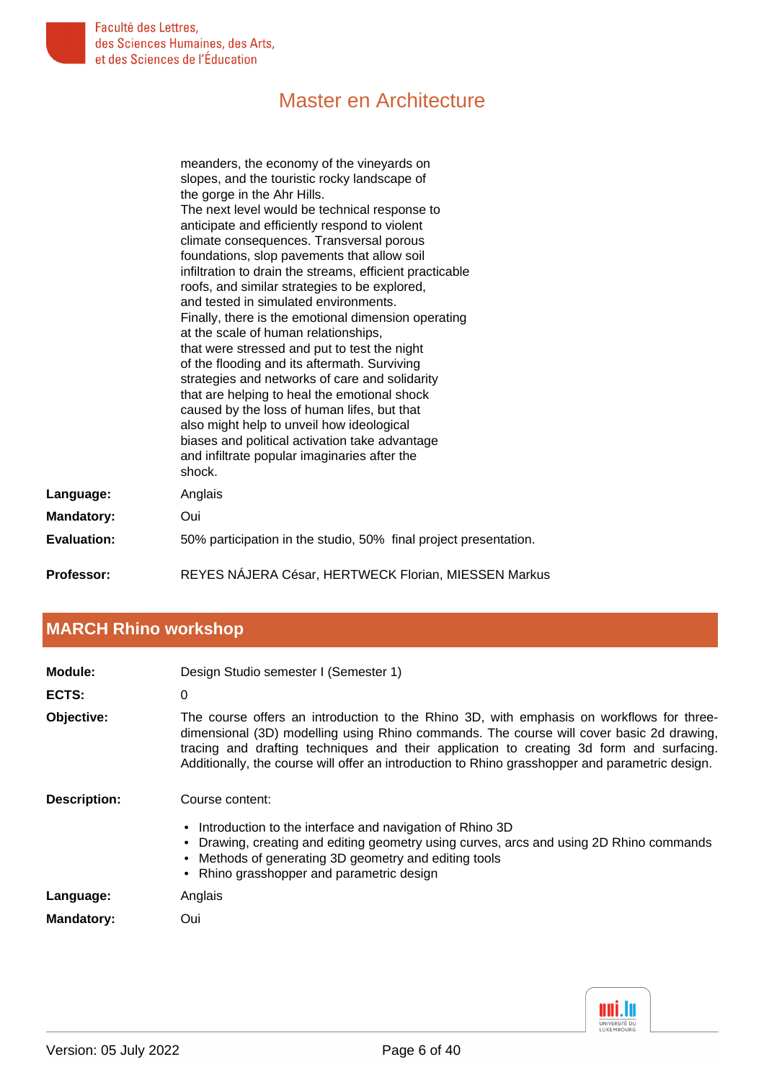

|                    | meanders, the economy of the vineyards on                        |
|--------------------|------------------------------------------------------------------|
|                    | slopes, and the touristic rocky landscape of                     |
|                    | the gorge in the Ahr Hills.                                      |
|                    | The next level would be technical response to                    |
|                    | anticipate and efficiently respond to violent                    |
|                    | climate consequences. Transversal porous                         |
|                    | foundations, slop pavements that allow soil                      |
|                    | infiltration to drain the streams, efficient practicable         |
|                    | roofs, and similar strategies to be explored,                    |
|                    | and tested in simulated environments.                            |
|                    | Finally, there is the emotional dimension operating              |
|                    | at the scale of human relationships,                             |
|                    | that were stressed and put to test the night                     |
|                    | of the flooding and its aftermath. Surviving                     |
|                    | strategies and networks of care and solidarity                   |
|                    | that are helping to heal the emotional shock                     |
|                    | caused by the loss of human lifes, but that                      |
|                    | also might help to unveil how ideological                        |
|                    | biases and political activation take advantage                   |
|                    | and infiltrate popular imaginaries after the                     |
|                    | shock.                                                           |
| Language:          | Anglais                                                          |
| <b>Mandatory:</b>  | Oui                                                              |
| <b>Evaluation:</b> | 50% participation in the studio, 50% final project presentation. |
| Professor:         | REYES NÁJERA César, HERTWECK Florian, MIESSEN Markus             |

# <span id="page-5-0"></span>**[MARCH Rhino workshop](#page-0-2)**

| Module:             | Design Studio semester I (Semester 1)                                                                                                                                                                                                                                                                                                                                               |
|---------------------|-------------------------------------------------------------------------------------------------------------------------------------------------------------------------------------------------------------------------------------------------------------------------------------------------------------------------------------------------------------------------------------|
| ECTS:               | $\Omega$                                                                                                                                                                                                                                                                                                                                                                            |
| Objective:          | The course offers an introduction to the Rhino 3D, with emphasis on workflows for three-<br>dimensional (3D) modelling using Rhino commands. The course will cover basic 2d drawing,<br>tracing and drafting techniques and their application to creating 3d form and surfacing.<br>Additionally, the course will offer an introduction to Rhino grasshopper and parametric design. |
| <b>Description:</b> | Course content:                                                                                                                                                                                                                                                                                                                                                                     |
|                     | • Introduction to the interface and navigation of Rhino 3D<br>• Drawing, creating and editing geometry using curves, arcs and using 2D Rhino commands<br>• Methods of generating 3D geometry and editing tools<br>• Rhino grasshopper and parametric design                                                                                                                         |
| Language:           | Anglais                                                                                                                                                                                                                                                                                                                                                                             |
| <b>Mandatory:</b>   | Oui                                                                                                                                                                                                                                                                                                                                                                                 |

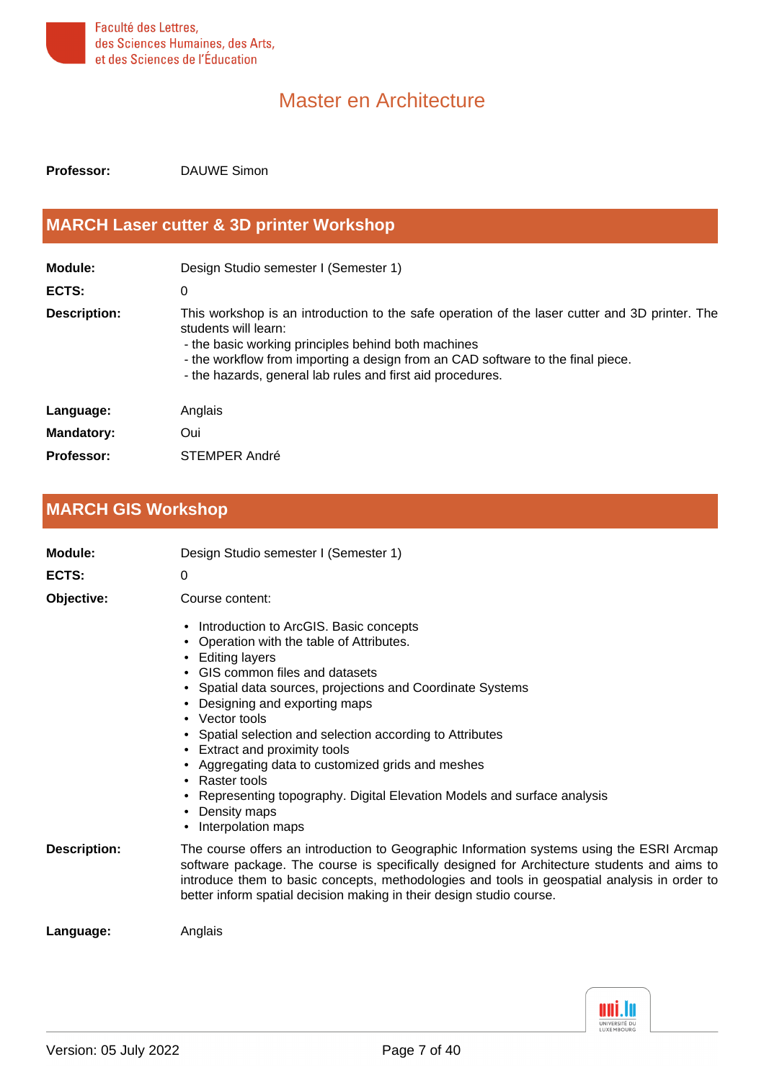

<span id="page-6-0"></span>**Professor:** DAUWE Simon

### **[MARCH Laser cutter & 3D printer Workshop](#page-0-3)**

| Module:             | Design Studio semester I (Semester 1)                                                                                                                                                                                                                                                                                          |
|---------------------|--------------------------------------------------------------------------------------------------------------------------------------------------------------------------------------------------------------------------------------------------------------------------------------------------------------------------------|
| ECTS:               | 0                                                                                                                                                                                                                                                                                                                              |
| <b>Description:</b> | This workshop is an introduction to the safe operation of the laser cutter and 3D printer. The<br>students will learn:<br>- the basic working principles behind both machines<br>- the workflow from importing a design from an CAD software to the final piece.<br>- the hazards, general lab rules and first aid procedures. |
| Language:           | Anglais                                                                                                                                                                                                                                                                                                                        |
| <b>Mandatory:</b>   | Oui                                                                                                                                                                                                                                                                                                                            |
| Professor:          | STEMPER André                                                                                                                                                                                                                                                                                                                  |

# <span id="page-6-1"></span>**[MARCH GIS Workshop](#page-0-4)**

| Module:             | Design Studio semester I (Semester 1)                                                                                                                                                                                                                                                                                                                                                                                                                                                                                                                         |
|---------------------|---------------------------------------------------------------------------------------------------------------------------------------------------------------------------------------------------------------------------------------------------------------------------------------------------------------------------------------------------------------------------------------------------------------------------------------------------------------------------------------------------------------------------------------------------------------|
| ECTS:               | $\Omega$                                                                                                                                                                                                                                                                                                                                                                                                                                                                                                                                                      |
| Objective:          | Course content:                                                                                                                                                                                                                                                                                                                                                                                                                                                                                                                                               |
|                     | Introduction to ArcGIS. Basic concepts<br>$\bullet$<br>Operation with the table of Attributes.<br>Editing layers<br>• GIS common files and datasets<br>Spatial data sources, projections and Coordinate Systems<br>Designing and exporting maps<br>• Vector tools<br>Spatial selection and selection according to Attributes<br>$\bullet$<br>• Extract and proximity tools<br>Aggregating data to customized grids and meshes<br>Raster tools<br>Representing topography. Digital Elevation Models and surface analysis<br>Density maps<br>Interpolation maps |
| <b>Description:</b> | The course offers an introduction to Geographic Information systems using the ESRI Arcmap<br>software package. The course is specifically designed for Architecture students and aims to<br>introduce them to basic concepts, methodologies and tools in geospatial analysis in order to<br>better inform spatial decision making in their design studio course.                                                                                                                                                                                              |
| Language:           | Anglais                                                                                                                                                                                                                                                                                                                                                                                                                                                                                                                                                       |
|                     |                                                                                                                                                                                                                                                                                                                                                                                                                                                                                                                                                               |

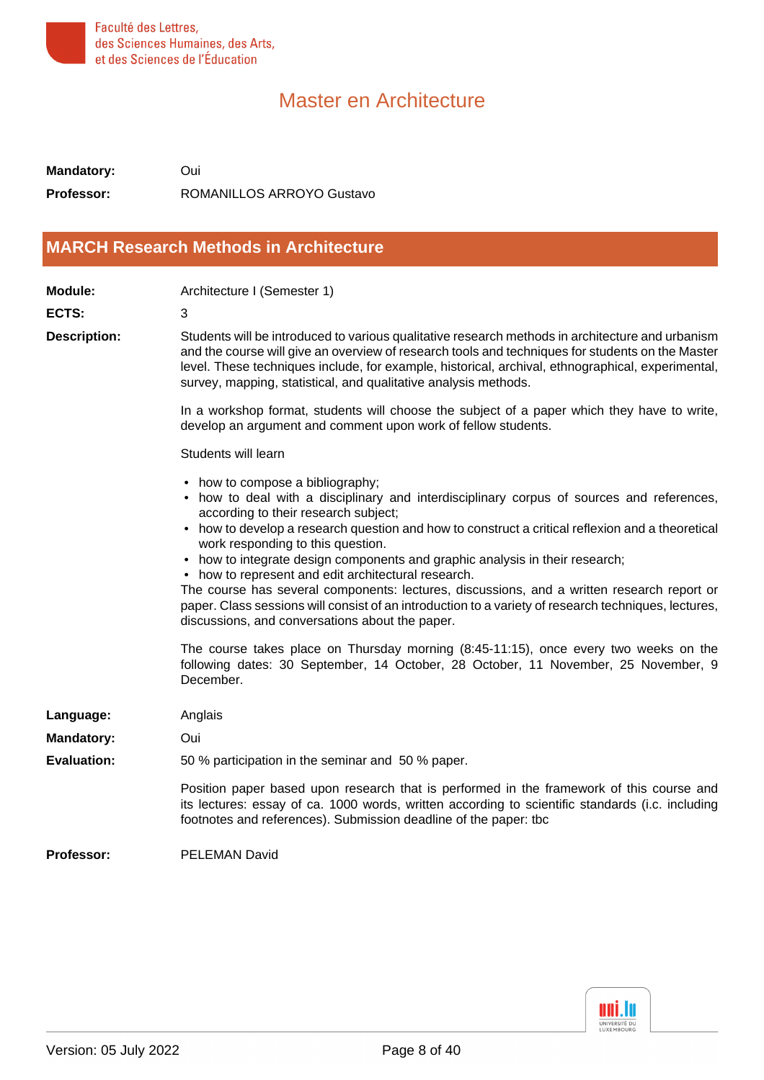

**Mandatory:** Oui **Professor:** ROMANILLOS ARROYO Gustavo

#### <span id="page-7-0"></span>**[MARCH Research Methods in Architecture](#page-0-5)**

| <b>Module:</b>      | Architecture I (Semester 1)                                                                                                                                                                                                                                                                                                                                                                                                                                                                                                                                                                                                                                                                                                                                                                                                                                                                               |
|---------------------|-----------------------------------------------------------------------------------------------------------------------------------------------------------------------------------------------------------------------------------------------------------------------------------------------------------------------------------------------------------------------------------------------------------------------------------------------------------------------------------------------------------------------------------------------------------------------------------------------------------------------------------------------------------------------------------------------------------------------------------------------------------------------------------------------------------------------------------------------------------------------------------------------------------|
| <b>ECTS:</b>        | 3                                                                                                                                                                                                                                                                                                                                                                                                                                                                                                                                                                                                                                                                                                                                                                                                                                                                                                         |
| <b>Description:</b> | Students will be introduced to various qualitative research methods in architecture and urbanism<br>and the course will give an overview of research tools and techniques for students on the Master<br>level. These techniques include, for example, historical, archival, ethnographical, experimental,<br>survey, mapping, statistical, and qualitative analysis methods.                                                                                                                                                                                                                                                                                                                                                                                                                                                                                                                              |
|                     | In a workshop format, students will choose the subject of a paper which they have to write,<br>develop an argument and comment upon work of fellow students.                                                                                                                                                                                                                                                                                                                                                                                                                                                                                                                                                                                                                                                                                                                                              |
|                     | Students will learn                                                                                                                                                                                                                                                                                                                                                                                                                                                                                                                                                                                                                                                                                                                                                                                                                                                                                       |
|                     | • how to compose a bibliography;<br>• how to deal with a disciplinary and interdisciplinary corpus of sources and references,<br>according to their research subject;<br>• how to develop a research question and how to construct a critical reflexion and a theoretical<br>work responding to this question.<br>• how to integrate design components and graphic analysis in their research;<br>• how to represent and edit architectural research.<br>The course has several components: lectures, discussions, and a written research report or<br>paper. Class sessions will consist of an introduction to a variety of research techniques, lectures,<br>discussions, and conversations about the paper.<br>The course takes place on Thursday morning (8:45-11:15), once every two weeks on the<br>following dates: 30 September, 14 October, 28 October, 11 November, 25 November, 9<br>December. |
| Language:           | Anglais                                                                                                                                                                                                                                                                                                                                                                                                                                                                                                                                                                                                                                                                                                                                                                                                                                                                                                   |
| <b>Mandatory:</b>   | Oui                                                                                                                                                                                                                                                                                                                                                                                                                                                                                                                                                                                                                                                                                                                                                                                                                                                                                                       |
| <b>Evaluation:</b>  | 50 % participation in the seminar and 50 % paper.                                                                                                                                                                                                                                                                                                                                                                                                                                                                                                                                                                                                                                                                                                                                                                                                                                                         |
|                     | Position paper based upon research that is performed in the framework of this course and<br>its lectures: essay of ca. 1000 words, written according to scientific standards (i.c. including<br>footnotes and references). Submission deadline of the paper: tbc                                                                                                                                                                                                                                                                                                                                                                                                                                                                                                                                                                                                                                          |
| Professor:          | <b>PELEMAN David</b>                                                                                                                                                                                                                                                                                                                                                                                                                                                                                                                                                                                                                                                                                                                                                                                                                                                                                      |

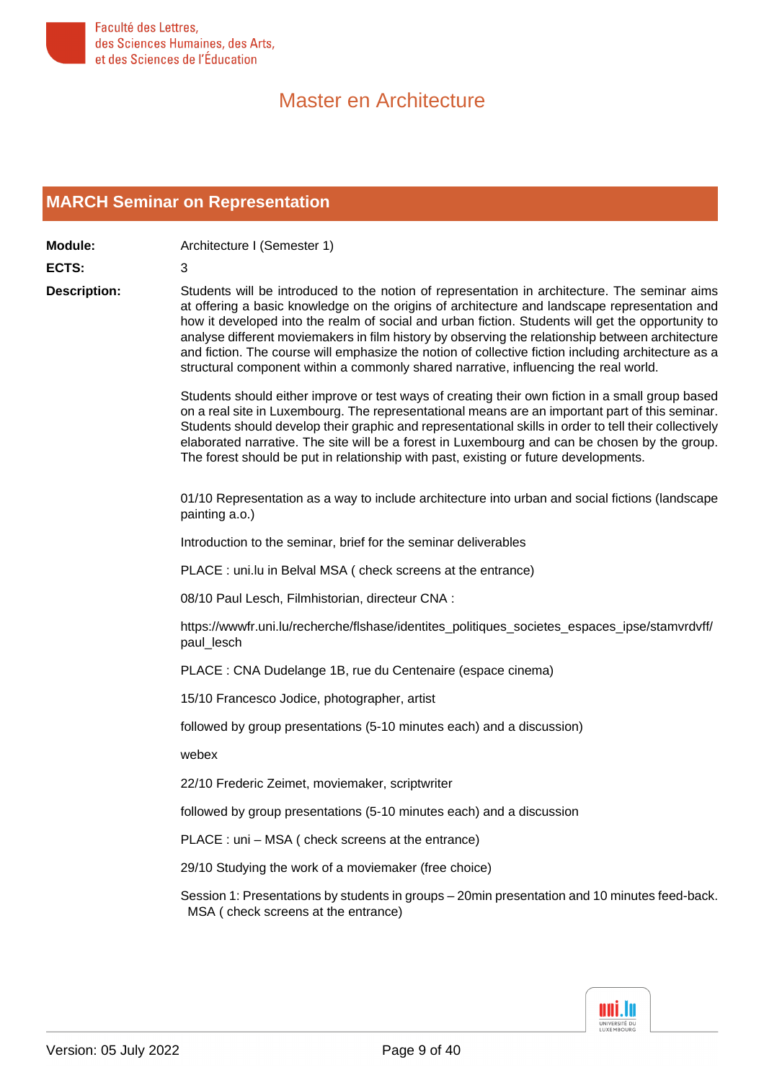

#### <span id="page-8-0"></span>**[MARCH Seminar on Representation](#page-0-6)**

**Module:** Architecture I (Semester 1) **ECTS:** 3 **Description:** Students will be introduced to the notion of representation in architecture. The seminar aims at offering a basic knowledge on the origins of architecture and landscape representation and how it developed into the realm of social and urban fiction. Students will get the opportunity to analyse different moviemakers in film history by observing the relationship between architecture and fiction. The course will emphasize the notion of collective fiction including architecture as a structural component within a commonly shared narrative, influencing the real world. Students should either improve or test ways of creating their own fiction in a small group based on a real site in Luxembourg. The representational means are an important part of this seminar. Students should develop their graphic and representational skills in order to tell their collectively elaborated narrative. The site will be a forest in Luxembourg and can be chosen by the group. The forest should be put in relationship with past, existing or future developments. 01/10 Representation as a way to include architecture into urban and social fictions (landscape painting a.o.) Introduction to the seminar, brief for the seminar deliverables PLACE : uni.lu in Belval MSA ( check screens at the entrance) 08/10 Paul Lesch, Filmhistorian, directeur CNA : https://wwwfr.uni.lu/recherche/flshase/identites\_politiques\_societes\_espaces\_ipse/stamvrdvff/ paul\_lesch PLACE : CNA Dudelange 1B, rue du Centenaire (espace cinema) 15/10 Francesco Jodice, photographer, artist

followed by group presentations (5-10 minutes each) and a discussion)

webex

22/10 Frederic Zeimet, moviemaker, scriptwriter

followed by group presentations (5-10 minutes each) and a discussion

PLACE : uni – MSA ( check screens at the entrance)

29/10 Studying the work of a moviemaker (free choice)

Session 1: Presentations by students in groups – 20min presentation and 10 minutes feed-back. MSA ( check screens at the entrance)

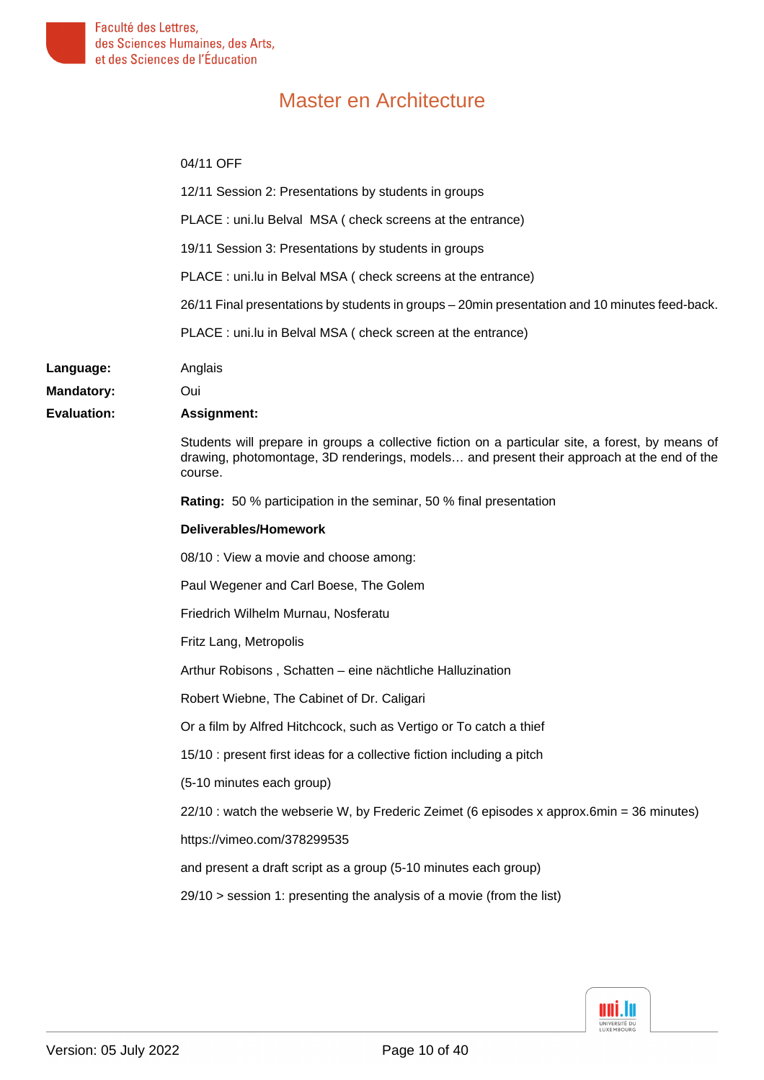Language: **Mandatory: Evaluation:** 

# Master en Architecture

#### 04/11 OFF

| 12/11 Session 2: Presentations by students in groups                                                                                                                                                     |
|----------------------------------------------------------------------------------------------------------------------------------------------------------------------------------------------------------|
| PLACE : uni.lu Belval MSA ( check screens at the entrance)                                                                                                                                               |
| 19/11 Session 3: Presentations by students in groups                                                                                                                                                     |
| PLACE: uni.lu in Belval MSA (check screens at the entrance)                                                                                                                                              |
| 26/11 Final presentations by students in groups - 20min presentation and 10 minutes feed-back.                                                                                                           |
| PLACE: uni.lu in Belval MSA (check screen at the entrance)                                                                                                                                               |
| Anglais                                                                                                                                                                                                  |
| Oui                                                                                                                                                                                                      |
| <b>Assignment:</b>                                                                                                                                                                                       |
| Students will prepare in groups a collective fiction on a particular site, a forest, by means of<br>drawing, photomontage, 3D renderings, models and present their approach at the end of the<br>course. |
| <b>Rating:</b> 50 % participation in the seminar, 50 % final presentation                                                                                                                                |
| Deliverables/Homework                                                                                                                                                                                    |
| 08/10 : View a movie and choose among:                                                                                                                                                                   |
| Paul Wegener and Carl Boese, The Golem                                                                                                                                                                   |
| Friedrich Wilhelm Murnau, Nosferatu                                                                                                                                                                      |
| Fritz Lang, Metropolis                                                                                                                                                                                   |
| Arthur Robisons, Schatten – eine nächtliche Halluzination                                                                                                                                                |
| Robert Wiebne, The Cabinet of Dr. Caligari                                                                                                                                                               |
| Or a film by Alfred Hitchcock, such as Vertigo or To catch a thief                                                                                                                                       |
| 15/10 : present first ideas for a collective fiction including a pitch                                                                                                                                   |
| (5-10 minutes each group)                                                                                                                                                                                |
| 22/10 : watch the webserie W, by Frederic Zeimet (6 episodes x approx.6min = 36 minutes)                                                                                                                 |
| https://vimeo.com/378299535                                                                                                                                                                              |
| and present a draft script as a group (5-10 minutes each group)                                                                                                                                          |
| $29/10$ > session 1: presenting the analysis of a movie (from the list)                                                                                                                                  |
|                                                                                                                                                                                                          |

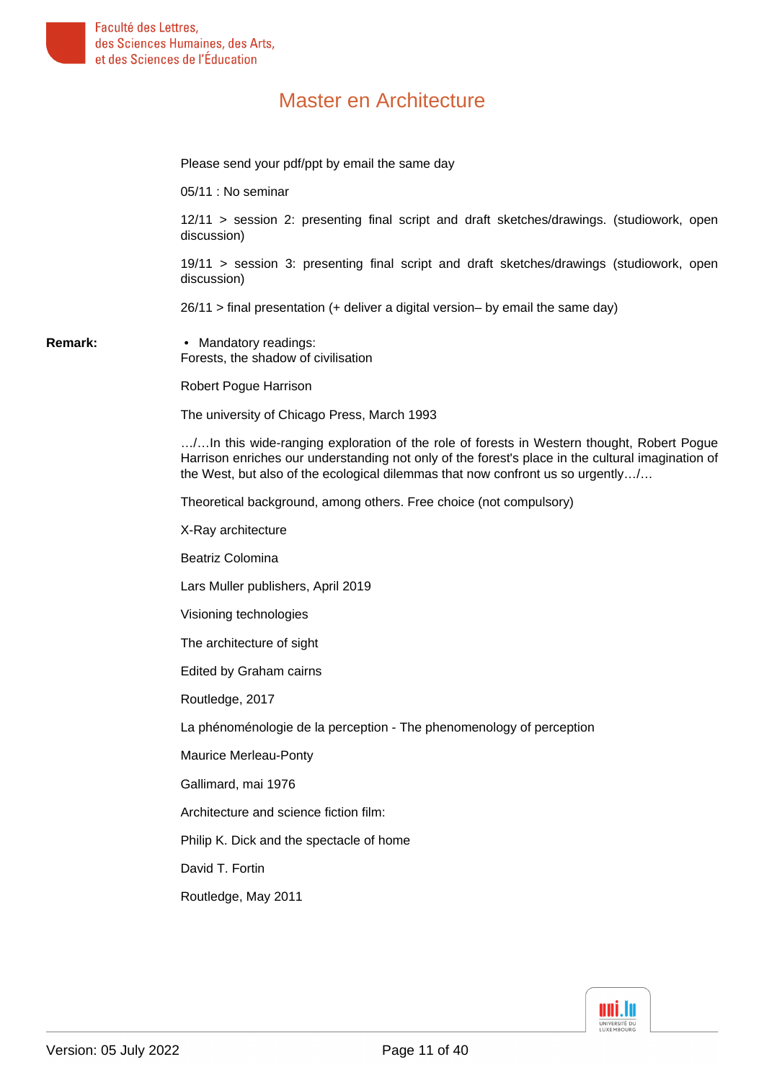Please send your pdf/ppt by email the same day

05/11 : No seminar

12/11 > session 2: presenting final script and draft sketches/drawings. (studiowork, open discussion)

19/11 > session 3: presenting final script and draft sketches/drawings (studiowork, open discussion)

26/11 > final presentation (+ deliver a digital version– by email the same day)

**Remark:** • Mandatory readings: Forests, the shadow of civilisation

Robert Pogue Harrison

The university of Chicago Press, March 1993

…/…In this wide-ranging exploration of the role of forests in Western thought, Robert Pogue Harrison enriches our understanding not only of the forest's place in the cultural imagination of the West, but also of the ecological dilemmas that now confront us so urgently…/…

Theoretical background, among others. Free choice (not compulsory)

X-Ray architecture

Beatriz Colomina

Lars Muller publishers, April 2019

Visioning technologies

The architecture of sight

Edited by Graham cairns

Routledge, 2017

La phénoménologie de la perception - The phenomenology of perception

Maurice Merleau-Ponty

Gallimard, mai 1976

Architecture and science fiction film:

Philip K. Dick and the spectacle of home

David T. Fortin

Routledge, May 2011

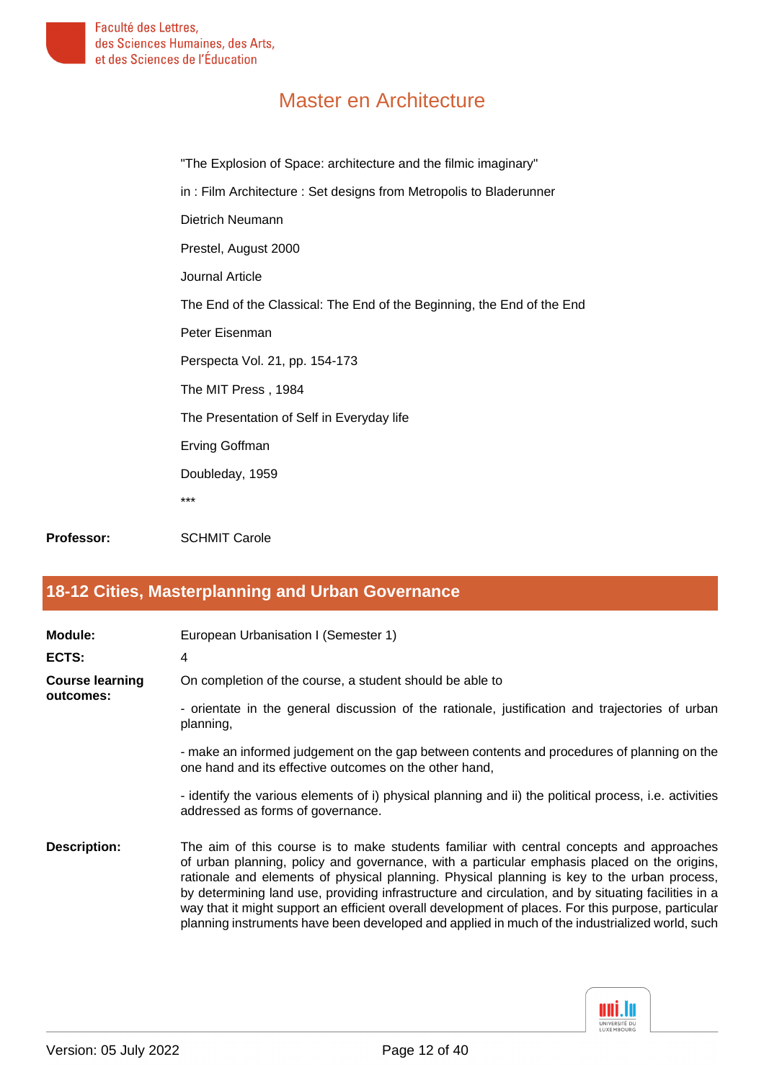"The Explosion of Space: architecture and the filmic imaginary" in : Film Architecture : Set designs from Metropolis to Bladerunner Dietrich Neumann Prestel, August 2000 Journal Article The End of the Classical: The End of the Beginning, the End of the End Peter Eisenman Perspecta Vol. 21, pp. 154-173 The MIT Press , 1984 The Presentation of Self in Everyday life Erving Goffman Doubleday, 1959 \*\*\*

<span id="page-11-0"></span>Professor: SCHMIT Carole

#### **[18-12 Cities, Masterplanning and Urban Governance](#page-0-7)**

| Module:<br>ECTS:                    | European Urbanisation I (Semester 1)<br>4                                                                                                                                                                                                                                                                                                                                                                                                                                                                 |
|-------------------------------------|-----------------------------------------------------------------------------------------------------------------------------------------------------------------------------------------------------------------------------------------------------------------------------------------------------------------------------------------------------------------------------------------------------------------------------------------------------------------------------------------------------------|
| <b>Course learning</b><br>outcomes: | On completion of the course, a student should be able to<br>- orientate in the general discussion of the rationale, justification and trajectories of urban<br>planning,                                                                                                                                                                                                                                                                                                                                  |
|                                     | - make an informed judgement on the gap between contents and procedures of planning on the<br>one hand and its effective outcomes on the other hand,<br>- identify the various elements of i) physical planning and ii) the political process, i.e. activities                                                                                                                                                                                                                                            |
| <b>Description:</b>                 | addressed as forms of governance.<br>The aim of this course is to make students familiar with central concepts and approaches                                                                                                                                                                                                                                                                                                                                                                             |
|                                     | of urban planning, policy and governance, with a particular emphasis placed on the origins,<br>rationale and elements of physical planning. Physical planning is key to the urban process,<br>by determining land use, providing infrastructure and circulation, and by situating facilities in a<br>way that it might support an efficient overall development of places. For this purpose, particular<br>planning instruments have been developed and applied in much of the industrialized world, such |

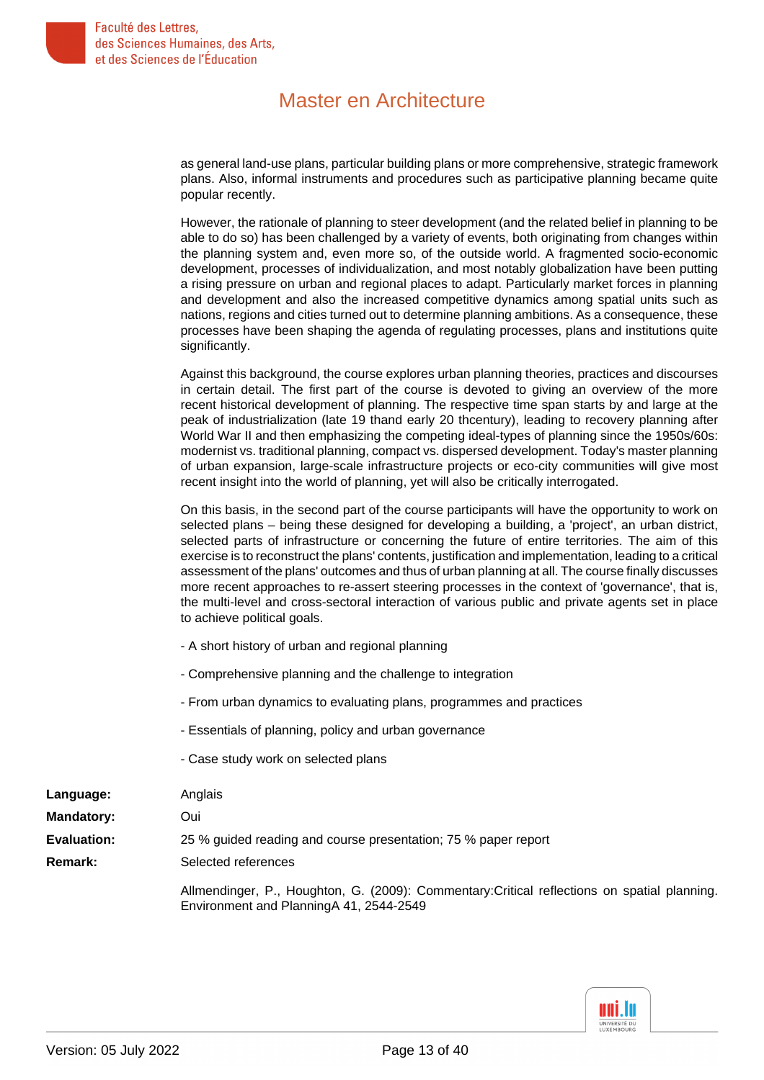as general land-use plans, particular building plans or more comprehensive, strategic framework plans. Also, informal instruments and procedures such as participative planning became quite popular recently.

However, the rationale of planning to steer development (and the related belief in planning to be able to do so) has been challenged by a variety of events, both originating from changes within the planning system and, even more so, of the outside world. A fragmented socio-economic development, processes of individualization, and most notably globalization have been putting a rising pressure on urban and regional places to adapt. Particularly market forces in planning and development and also the increased competitive dynamics among spatial units such as nations, regions and cities turned out to determine planning ambitions. As a consequence, these processes have been shaping the agenda of regulating processes, plans and institutions quite significantly.

Against this background, the course explores urban planning theories, practices and discourses in certain detail. The first part of the course is devoted to giving an overview of the more recent historical development of planning. The respective time span starts by and large at the peak of industrialization (late 19 thand early 20 thcentury), leading to recovery planning after World War II and then emphasizing the competing ideal-types of planning since the 1950s/60s: modernist vs. traditional planning, compact vs. dispersed development. Today's master planning of urban expansion, large-scale infrastructure projects or eco-city communities will give most recent insight into the world of planning, yet will also be critically interrogated.

On this basis, in the second part of the course participants will have the opportunity to work on selected plans – being these designed for developing a building, a 'project', an urban district, selected parts of infrastructure or concerning the future of entire territories. The aim of this exercise is to reconstruct the plans' contents, justification and implementation, leading to a critical assessment of the plans' outcomes and thus of urban planning at all. The course finally discusses more recent approaches to re-assert steering processes in the context of 'governance', that is, the multi-level and cross-sectoral interaction of various public and private agents set in place to achieve political goals.

- A short history of urban and regional planning
- Comprehensive planning and the challenge to integration
- From urban dynamics to evaluating plans, programmes and practices
- Essentials of planning, policy and urban governance
- Case study work on selected plans

| Language:         | Anglais                                                                                                                                 |
|-------------------|-----------------------------------------------------------------------------------------------------------------------------------------|
| <b>Mandatory:</b> | Oui                                                                                                                                     |
| Evaluation:       | 25 % guided reading and course presentation; 75 % paper report                                                                          |
| <b>Remark:</b>    | Selected references                                                                                                                     |
|                   | Allmendinger, P., Houghton, G. (2009): Commentary: Critical reflections on spatial planning.<br>Environment and PlanningA 41, 2544-2549 |

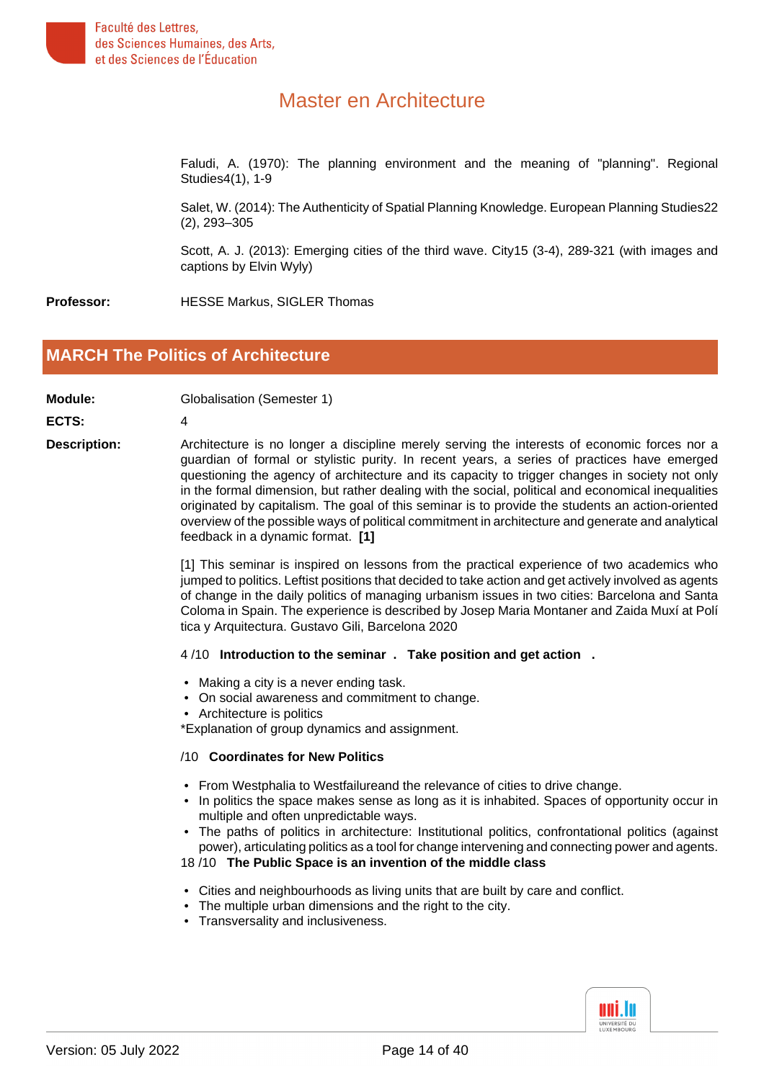

Faludi, A. (1970): The planning environment and the meaning of "planning". Regional Studies4(1), 1-9

Salet, W. (2014): The Authenticity of Spatial Planning Knowledge. European Planning Studies22 (2), 293–305

Scott, A. J. (2013): Emerging cities of the third wave. City15 (3-4), 289-321 (with images and captions by Elvin Wyly)

<span id="page-13-0"></span>**Professor:** HESSE Markus, SIGLER Thomas

#### **[MARCH The Politics of Architecture](#page-0-8)**

**Module:** Globalisation (Semester 1)

**ECTS:** 4

**Description:** Architecture is no longer a discipline merely serving the interests of economic forces nor a guardian of formal or stylistic purity. In recent years, a series of practices have emerged questioning the agency of architecture and its capacity to trigger changes in society not only in the formal dimension, but rather dealing with the social, political and economical inequalities originated by capitalism. The goal of this seminar is to provide the students an action-oriented overview of the possible ways of political commitment in architecture and generate and analytical feedback in a dynamic format. **[1]**

> [1] This seminar is inspired on lessons from the practical experience of two academics who jumped to politics. Leftist positions that decided to take action and get actively involved as agents of change in the daily politics of managing urbanism issues in two cities: Barcelona and Santa Coloma in Spain. The experience is described by Josep Maria Montaner and Zaida Muxí at Polí tica y Arquitectura. Gustavo Gili, Barcelona 2020

#### 4 /10 **Introduction to the seminar . Take position and get action .**

- Making a city is a never ending task.
- On social awareness and commitment to change.
- Architecture is politics

\*Explanation of group dynamics and assignment.

#### /10 **Coordinates for New Politics**

- From Westphalia to Westfailureand the relevance of cities to drive change.
- In politics the space makes sense as long as it is inhabited. Spaces of opportunity occur in multiple and often unpredictable ways.
- The paths of politics in architecture: Institutional politics, confrontational politics (against power), articulating politics as a tool for change intervening and connecting power and agents.

18 /10 **The Public Space is an invention of the middle class**

- Cities and neighbourhoods as living units that are built by care and conflict.
- The multiple urban dimensions and the right to the city.
- Transversality and inclusiveness.

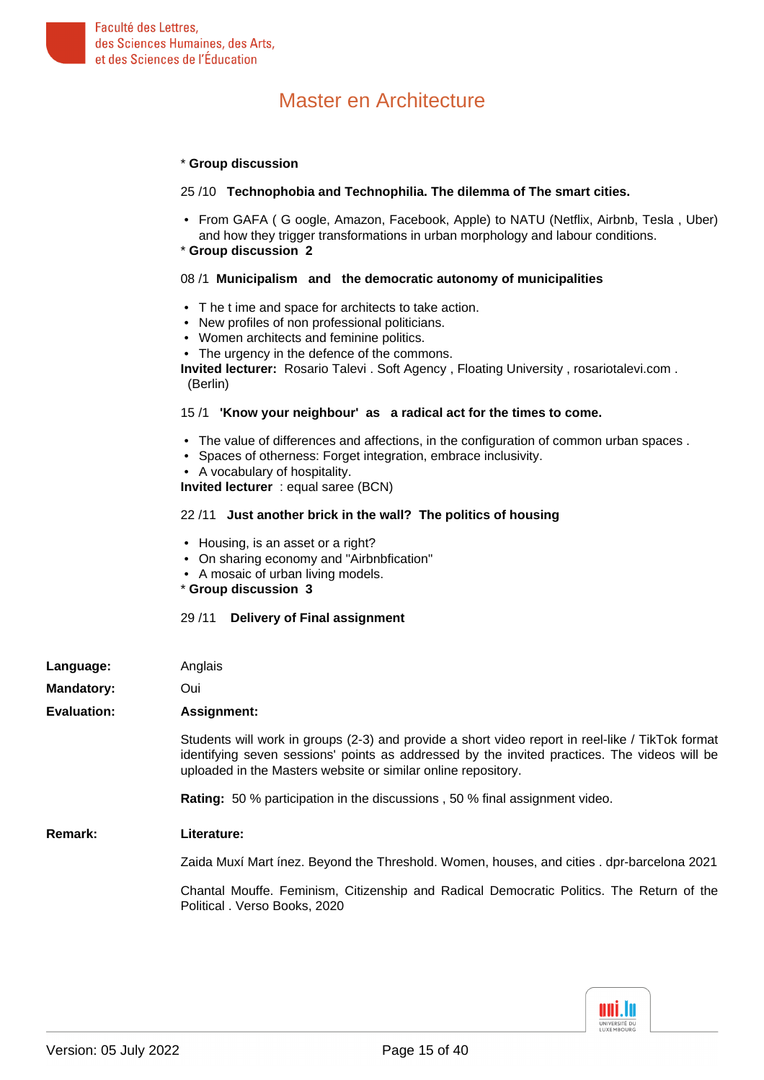

#### \* **Group discussion**

#### 25 /10 **Technophobia and Technophilia. The dilemma of The smart cities.**

• From GAFA ( G oogle, Amazon, Facebook, Apple) to NATU (Netflix, Airbnb, Tesla , Uber) and how they trigger transformations in urban morphology and labour conditions.

#### \* **Group discussion 2**

#### 08 /1 **Municipalism and the democratic autonomy of municipalities**

- T he t ime and space for architects to take action.
- New profiles of non professional politicians.
- Women architects and feminine politics.
- The urgency in the defence of the commons.

**Invited lecturer:** Rosario Talevi . Soft Agency , Floating University , rosariotalevi.com . (Berlin)

#### 15 /1 **'Know your neighbour' as a radical act for the times to come.**

- The value of differences and affections, in the configuration of common urban spaces .
- Spaces of otherness: Forget integration, embrace inclusivity.
- A vocabulary of hospitality.

**Invited lecturer** : equal saree (BCN)

#### 22 /11 **Just another brick in the wall? The politics of housing**

- Housing, is an asset or a right?
- On sharing economy and "Airbnbfication"
- A mosaic of urban living models.
- \* **Group discussion 3**

#### 29 /11 **Delivery of Final assignment**

| Language:          | Anglais                                                                                                                                                                                                                                                           |
|--------------------|-------------------------------------------------------------------------------------------------------------------------------------------------------------------------------------------------------------------------------------------------------------------|
| <b>Mandatory:</b>  | Oui                                                                                                                                                                                                                                                               |
| <b>Evaluation:</b> | Assignment:                                                                                                                                                                                                                                                       |
|                    | Students will work in groups (2-3) and provide a short video report in reel-like / TikTok format<br>identifying seven sessions' points as addressed by the invited practices. The videos will be<br>uploaded in the Masters website or similar online repository. |
|                    | Rating: 50 % participation in the discussions, 50 % final assignment video.                                                                                                                                                                                       |
| Remark:            | Literature:                                                                                                                                                                                                                                                       |
|                    | Zaida Muxí Mart ínez. Beyond the Threshold. Women, houses, and cities . dpr-barcelona 2021                                                                                                                                                                        |
|                    | Chantal Mouffe. Feminism, Citizenship and Radical Democratic Politics. The Return of the<br>Political . Verso Books, 2020                                                                                                                                         |

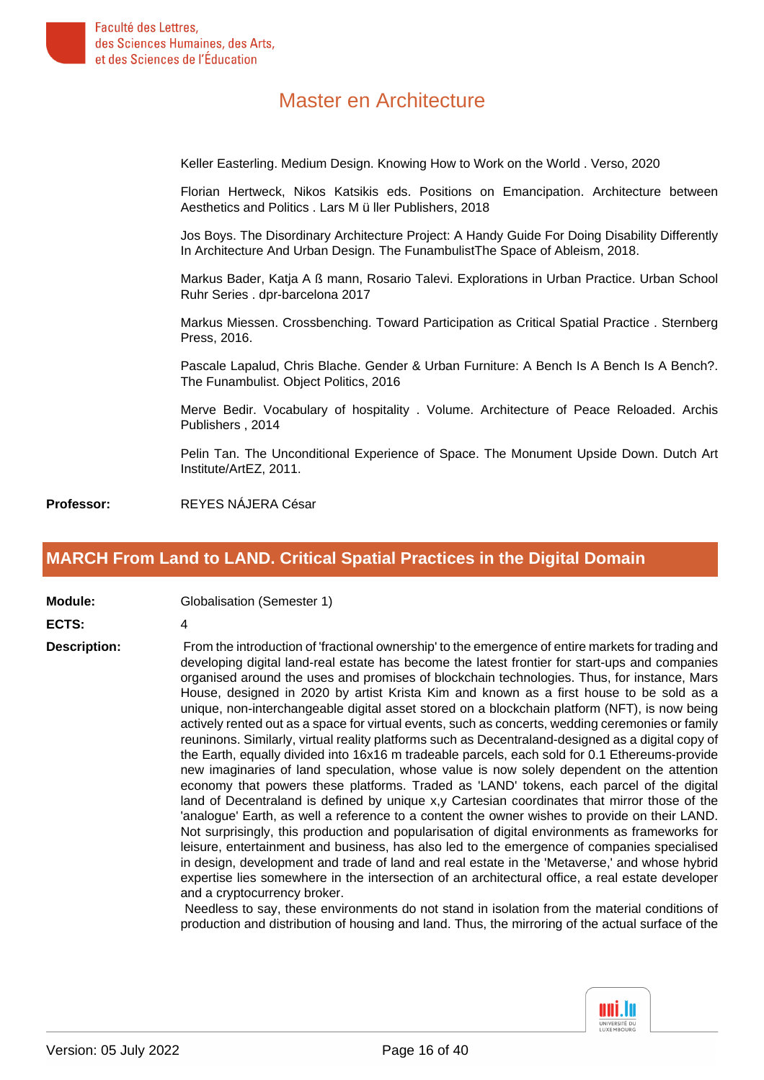

Keller Easterling. Medium Design. Knowing How to Work on the World . Verso, 2020

Florian Hertweck, Nikos Katsikis eds. Positions on Emancipation. Architecture between Aesthetics and Politics . Lars M ü ller Publishers, 2018

Jos Boys. The Disordinary Architecture Project: A Handy Guide For Doing Disability Differently In Architecture And Urban Design. The FunambulistThe Space of Ableism, 2018.

Markus Bader, Katja A ß mann, Rosario Talevi. Explorations in Urban Practice. Urban School Ruhr Series . dpr-barcelona 2017

Markus Miessen. Crossbenching. Toward Participation as Critical Spatial Practice . Sternberg Press, 2016.

Pascale Lapalud, Chris Blache. Gender & Urban Furniture: A Bench Is A Bench Is A Bench?. The Funambulist. Object Politics, 2016

Merve Bedir. Vocabulary of hospitality . Volume. Architecture of Peace Reloaded. Archis Publishers , 2014

Pelin Tan. The Unconditional Experience of Space. The Monument Upside Down. Dutch Art Institute/ArtEZ, 2011.

<span id="page-15-0"></span>**Professor:** REYES NÁJERA César

#### **[MARCH From Land to LAND. Critical Spatial Practices in the Digital Domain](#page-0-9)**

**Module:** Globalisation (Semester 1)

#### **ECTS:** 4

**Description:** From the introduction of 'fractional ownership' to the emergence of entire markets for trading and developing digital land-real estate has become the latest frontier for start-ups and companies organised around the uses and promises of blockchain technologies. Thus, for instance, Mars House, designed in 2020 by artist Krista Kim and known as a first house to be sold as a unique, non-interchangeable digital asset stored on a blockchain platform (NFT), is now being actively rented out as a space for virtual events, such as concerts, wedding ceremonies or family reuninons. Similarly, virtual reality platforms such as Decentraland-designed as a digital copy of the Earth, equally divided into 16x16 m tradeable parcels, each sold for 0.1 Ethereums-provide new imaginaries of land speculation, whose value is now solely dependent on the attention economy that powers these platforms. Traded as 'LAND' tokens, each parcel of the digital land of Decentraland is defined by unique x,y Cartesian coordinates that mirror those of the 'analogue' Earth, as well a reference to a content the owner wishes to provide on their LAND. Not surprisingly, this production and popularisation of digital environments as frameworks for leisure, entertainment and business, has also led to the emergence of companies specialised in design, development and trade of land and real estate in the 'Metaverse,' and whose hybrid expertise lies somewhere in the intersection of an architectural office, a real estate developer and a cryptocurrency broker.

> Needless to say, these environments do not stand in isolation from the material conditions of production and distribution of housing and land. Thus, the mirroring of the actual surface of the

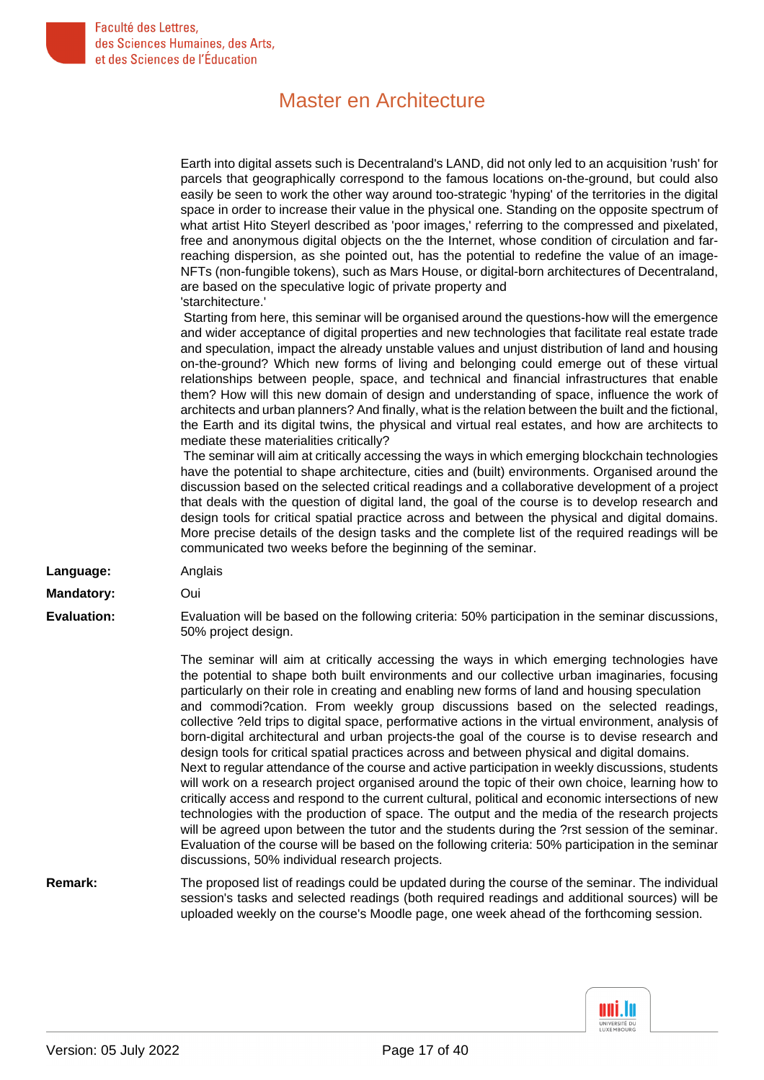|                    | Earth into digital assets such is Decentraland's LAND, did not only led to an acquisition 'rush' for<br>parcels that geographically correspond to the famous locations on-the-ground, but could also<br>easily be seen to work the other way around too-strategic 'hyping' of the territories in the digital<br>space in order to increase their value in the physical one. Standing on the opposite spectrum of<br>what artist Hito Steyerl described as 'poor images,' referring to the compressed and pixelated,<br>free and anonymous digital objects on the the Internet, whose condition of circulation and far-<br>reaching dispersion, as she pointed out, has the potential to redefine the value of an image-<br>NFTs (non-fungible tokens), such as Mars House, or digital-born architectures of Decentraland,<br>are based on the speculative logic of private property and                                                                                                                                                                                                                                                                                                                                                                                                                                                                                                                                                                                                                                                                         |
|--------------------|-----------------------------------------------------------------------------------------------------------------------------------------------------------------------------------------------------------------------------------------------------------------------------------------------------------------------------------------------------------------------------------------------------------------------------------------------------------------------------------------------------------------------------------------------------------------------------------------------------------------------------------------------------------------------------------------------------------------------------------------------------------------------------------------------------------------------------------------------------------------------------------------------------------------------------------------------------------------------------------------------------------------------------------------------------------------------------------------------------------------------------------------------------------------------------------------------------------------------------------------------------------------------------------------------------------------------------------------------------------------------------------------------------------------------------------------------------------------------------------------------------------------------------------------------------------------|
|                    | 'starchitecture.'<br>Starting from here, this seminar will be organised around the questions-how will the emergence<br>and wider acceptance of digital properties and new technologies that facilitate real estate trade<br>and speculation, impact the already unstable values and unjust distribution of land and housing<br>on-the-ground? Which new forms of living and belonging could emerge out of these virtual<br>relationships between people, space, and technical and financial infrastructures that enable<br>them? How will this new domain of design and understanding of space, influence the work of<br>architects and urban planners? And finally, what is the relation between the built and the fictional,<br>the Earth and its digital twins, the physical and virtual real estates, and how are architects to<br>mediate these materialities critically?<br>The seminar will aim at critically accessing the ways in which emerging blockchain technologies<br>have the potential to shape architecture, cities and (built) environments. Organised around the<br>discussion based on the selected critical readings and a collaborative development of a project<br>that deals with the question of digital land, the goal of the course is to develop research and<br>design tools for critical spatial practice across and between the physical and digital domains.<br>More precise details of the design tasks and the complete list of the required readings will be<br>communicated two weeks before the beginning of the seminar. |
| Language:          | Anglais                                                                                                                                                                                                                                                                                                                                                                                                                                                                                                                                                                                                                                                                                                                                                                                                                                                                                                                                                                                                                                                                                                                                                                                                                                                                                                                                                                                                                                                                                                                                                         |
| <b>Mandatory:</b>  | Oui                                                                                                                                                                                                                                                                                                                                                                                                                                                                                                                                                                                                                                                                                                                                                                                                                                                                                                                                                                                                                                                                                                                                                                                                                                                                                                                                                                                                                                                                                                                                                             |
| <b>Evaluation:</b> | Evaluation will be based on the following criteria: 50% participation in the seminar discussions,<br>50% project design.                                                                                                                                                                                                                                                                                                                                                                                                                                                                                                                                                                                                                                                                                                                                                                                                                                                                                                                                                                                                                                                                                                                                                                                                                                                                                                                                                                                                                                        |
|                    | The seminar will aim at critically accessing the ways in which emerging technologies have<br>the potential to shape both built environments and our collective urban imaginaries, focusing<br>particularly on their role in creating and enabling new forms of land and housing speculation<br>and commodi?cation. From weekly group discussions based on the selected readings,<br>collective ?eld trips to digital space, performative actions in the virtual environment, analysis of<br>born-digital architectural and urban projects-the goal of the course is to devise research and<br>design tools for critical spatial practices across and between physical and digital domains.<br>Next to regular attendance of the course and active participation in weekly discussions, students<br>will work on a research project organised around the topic of their own choice, learning how to<br>critically access and respond to the current cultural, political and economic intersections of new<br>technologies with the production of space. The output and the media of the research projects<br>will be agreed upon between the tutor and the students during the ?rst session of the seminar.<br>Evaluation of the course will be based on the following criteria: 50% participation in the seminar<br>discussions, 50% individual research projects.                                                                                                                                                                                              |
| Remark:            | The proposed list of readings could be updated during the course of the seminar. The individual<br>session's tasks and selected readings (both required readings and additional sources) will be<br>uploaded weekly on the course's Moodle page, one week ahead of the forthcoming session.                                                                                                                                                                                                                                                                                                                                                                                                                                                                                                                                                                                                                                                                                                                                                                                                                                                                                                                                                                                                                                                                                                                                                                                                                                                                     |

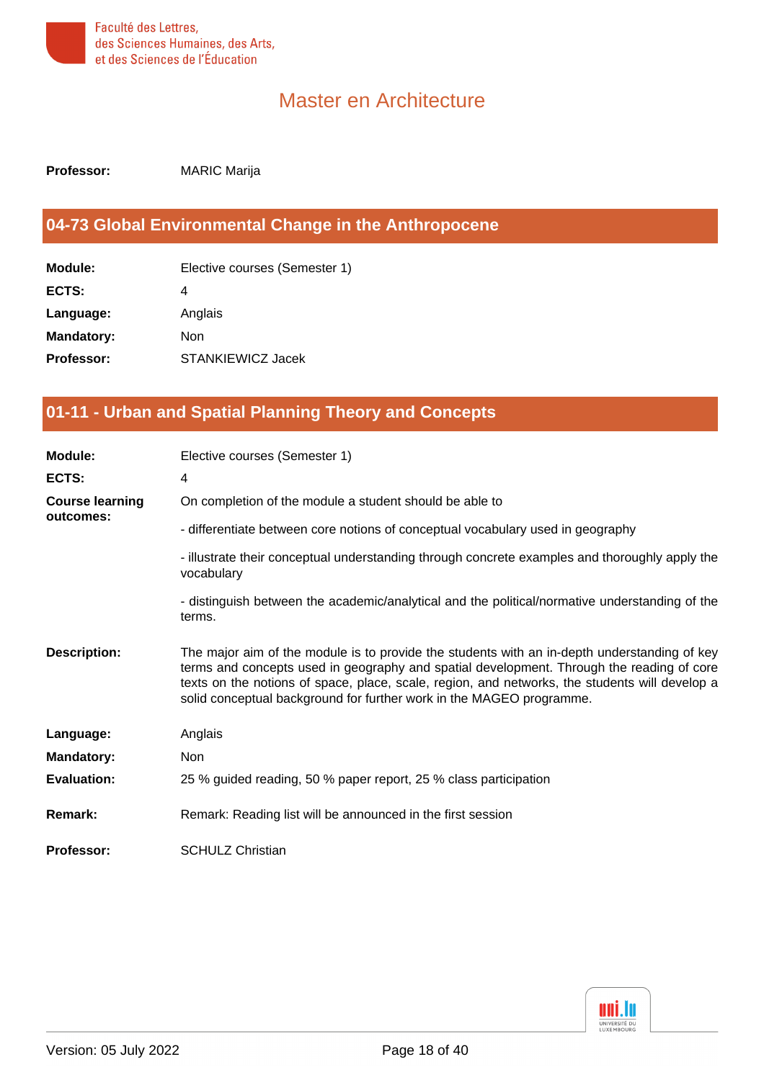

<span id="page-17-0"></span>**Professor:** MARIC Marija

### **[04-73 Global Environmental Change in the Anthropocene](#page-0-10)**

| Module:           | Elective courses (Semester 1) |
|-------------------|-------------------------------|
| ECTS:             | 4                             |
| Language:         | Anglais                       |
| <b>Mandatory:</b> | Non                           |
| <b>Professor:</b> | STANKIEWICZ Jacek             |
|                   |                               |

### <span id="page-17-1"></span>**[01-11 - Urban and Spatial Planning Theory and Concepts](#page-0-11)**

| Module:                | Elective courses (Semester 1)                                                                                                                                                                                                                                                                                                                                       |
|------------------------|---------------------------------------------------------------------------------------------------------------------------------------------------------------------------------------------------------------------------------------------------------------------------------------------------------------------------------------------------------------------|
| ECTS:                  | 4                                                                                                                                                                                                                                                                                                                                                                   |
| <b>Course learning</b> | On completion of the module a student should be able to                                                                                                                                                                                                                                                                                                             |
| outcomes:              | - differentiate between core notions of conceptual vocabulary used in geography                                                                                                                                                                                                                                                                                     |
|                        | - illustrate their conceptual understanding through concrete examples and thoroughly apply the<br>vocabulary                                                                                                                                                                                                                                                        |
|                        | - distinguish between the academic/analytical and the political/normative understanding of the<br>terms.                                                                                                                                                                                                                                                            |
| <b>Description:</b>    | The major aim of the module is to provide the students with an in-depth understanding of key<br>terms and concepts used in geography and spatial development. Through the reading of core<br>texts on the notions of space, place, scale, region, and networks, the students will develop a<br>solid conceptual background for further work in the MAGEO programme. |
| Language:              | Anglais                                                                                                                                                                                                                                                                                                                                                             |
| <b>Mandatory:</b>      | <b>Non</b>                                                                                                                                                                                                                                                                                                                                                          |
| <b>Evaluation:</b>     | 25 % guided reading, 50 % paper report, 25 % class participation                                                                                                                                                                                                                                                                                                    |
| <b>Remark:</b>         | Remark: Reading list will be announced in the first session                                                                                                                                                                                                                                                                                                         |
| Professor:             | <b>SCHULZ Christian</b>                                                                                                                                                                                                                                                                                                                                             |

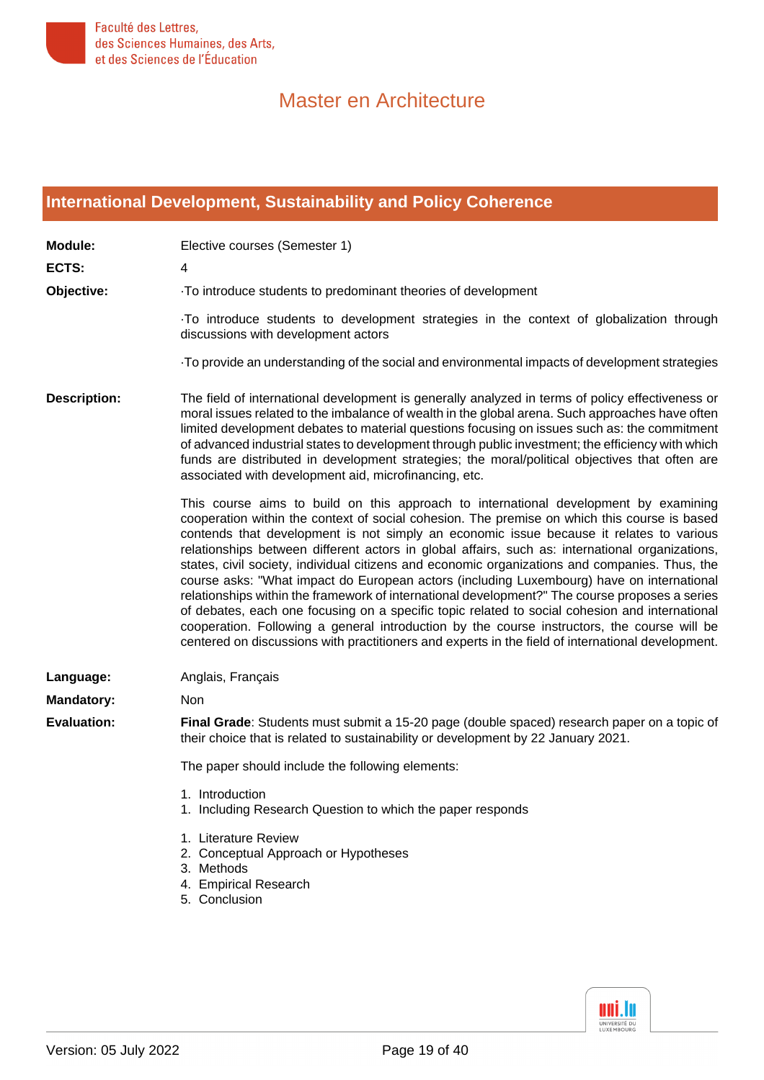

### <span id="page-18-0"></span>**[International Development, Sustainability and Policy Coherence](#page-1-0)**

| <b>Module:</b>      | Elective courses (Semester 1)                                                                                                                                                                                                                                                                                                                                                                                                                                                                                                                                                                                                                                                                                                                                                                                                                                                                                                                                                             |
|---------------------|-------------------------------------------------------------------------------------------------------------------------------------------------------------------------------------------------------------------------------------------------------------------------------------------------------------------------------------------------------------------------------------------------------------------------------------------------------------------------------------------------------------------------------------------------------------------------------------------------------------------------------------------------------------------------------------------------------------------------------------------------------------------------------------------------------------------------------------------------------------------------------------------------------------------------------------------------------------------------------------------|
| ECTS:               | 4                                                                                                                                                                                                                                                                                                                                                                                                                                                                                                                                                                                                                                                                                                                                                                                                                                                                                                                                                                                         |
| Objective:          | To introduce students to predominant theories of development                                                                                                                                                                                                                                                                                                                                                                                                                                                                                                                                                                                                                                                                                                                                                                                                                                                                                                                              |
|                     | To introduce students to development strategies in the context of globalization through<br>discussions with development actors                                                                                                                                                                                                                                                                                                                                                                                                                                                                                                                                                                                                                                                                                                                                                                                                                                                            |
|                     | To provide an understanding of the social and environmental impacts of development strategies                                                                                                                                                                                                                                                                                                                                                                                                                                                                                                                                                                                                                                                                                                                                                                                                                                                                                             |
| <b>Description:</b> | The field of international development is generally analyzed in terms of policy effectiveness or<br>moral issues related to the imbalance of wealth in the global arena. Such approaches have often<br>limited development debates to material questions focusing on issues such as: the commitment<br>of advanced industrial states to development through public investment; the efficiency with which<br>funds are distributed in development strategies; the moral/political objectives that often are<br>associated with development aid, microfinancing, etc.                                                                                                                                                                                                                                                                                                                                                                                                                       |
|                     | This course aims to build on this approach to international development by examining<br>cooperation within the context of social cohesion. The premise on which this course is based<br>contends that development is not simply an economic issue because it relates to various<br>relationships between different actors in global affairs, such as: international organizations,<br>states, civil society, individual citizens and economic organizations and companies. Thus, the<br>course asks: "What impact do European actors (including Luxembourg) have on international<br>relationships within the framework of international development?" The course proposes a series<br>of debates, each one focusing on a specific topic related to social cohesion and international<br>cooperation. Following a general introduction by the course instructors, the course will be<br>centered on discussions with practitioners and experts in the field of international development. |
| Language:           | Anglais, Français                                                                                                                                                                                                                                                                                                                                                                                                                                                                                                                                                                                                                                                                                                                                                                                                                                                                                                                                                                         |
| <b>Mandatory:</b>   | Non                                                                                                                                                                                                                                                                                                                                                                                                                                                                                                                                                                                                                                                                                                                                                                                                                                                                                                                                                                                       |
| <b>Evaluation:</b>  | Final Grade: Students must submit a 15-20 page (double spaced) research paper on a topic of<br>their choice that is related to sustainability or development by 22 January 2021.                                                                                                                                                                                                                                                                                                                                                                                                                                                                                                                                                                                                                                                                                                                                                                                                          |
|                     | The paper should include the following elements:                                                                                                                                                                                                                                                                                                                                                                                                                                                                                                                                                                                                                                                                                                                                                                                                                                                                                                                                          |
|                     | 1. Introduction<br>1. Including Research Question to which the paper responds                                                                                                                                                                                                                                                                                                                                                                                                                                                                                                                                                                                                                                                                                                                                                                                                                                                                                                             |
|                     | 1. Literature Review<br>2. Conceptual Approach or Hypotheses<br>3. Methods<br>4. Empirical Research<br>5. Conclusion                                                                                                                                                                                                                                                                                                                                                                                                                                                                                                                                                                                                                                                                                                                                                                                                                                                                      |

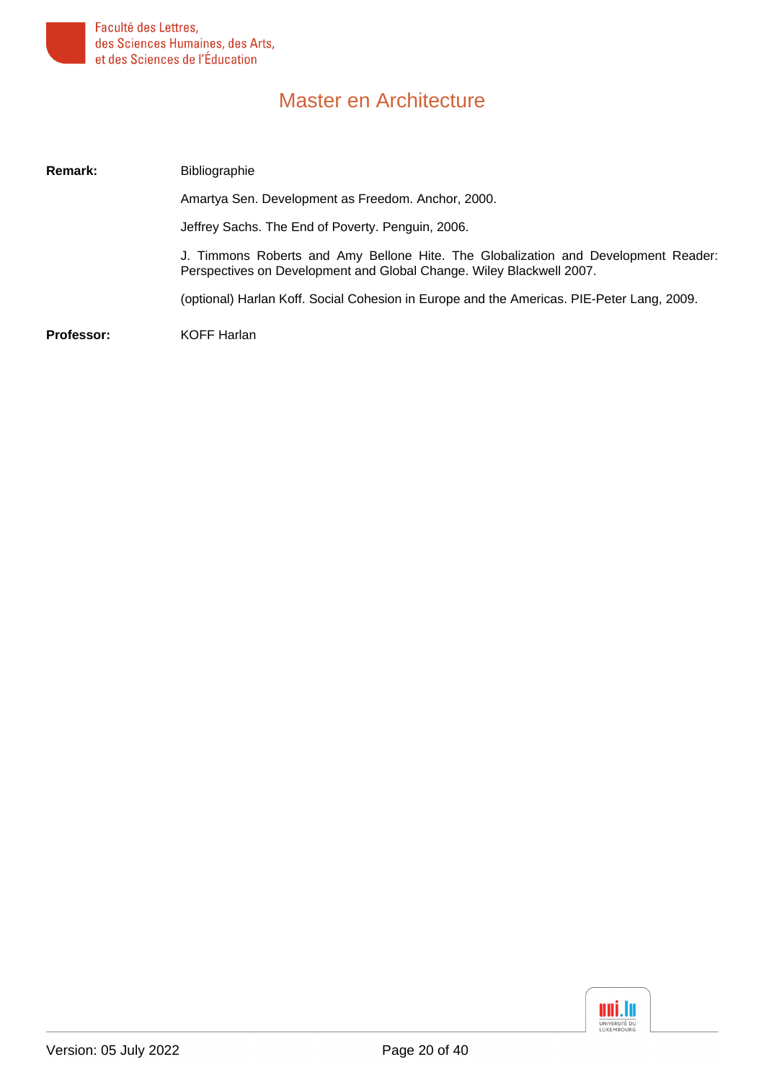

| Remark:    | <b>Bibliographie</b>                                                                                                                                       |
|------------|------------------------------------------------------------------------------------------------------------------------------------------------------------|
|            | Amartya Sen. Development as Freedom. Anchor, 2000.                                                                                                         |
|            | Jeffrey Sachs. The End of Poverty. Penguin, 2006.                                                                                                          |
|            | J. Timmons Roberts and Amy Bellone Hite. The Globalization and Development Reader:<br>Perspectives on Development and Global Change. Wiley Blackwell 2007. |
|            | (optional) Harlan Koff. Social Cohesion in Europe and the Americas. PIE-Peter Lang, 2009.                                                                  |
| Professor: | <b>KOFF Harlan</b>                                                                                                                                         |

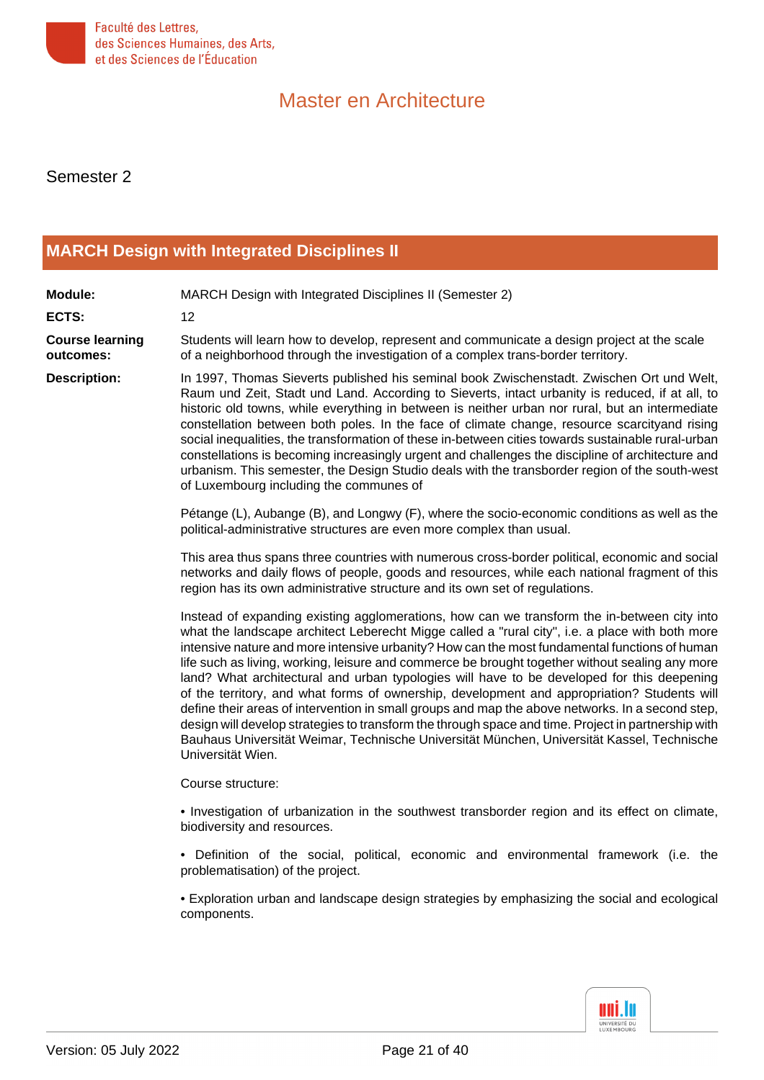

Semester 2

#### <span id="page-20-0"></span>**[MARCH Design with Integrated Disciplines II](#page-1-1)**

**Module:** MARCH Design with Integrated Disciplines II (Semester 2) **ECTS:** 12 **Course learning outcomes:** Students will learn how to develop, represent and communicate a design project at the scale of a neighborhood through the investigation of a complex trans-border territory. **Description:** In 1997, Thomas Sieverts published his seminal book Zwischenstadt. Zwischen Ort und Welt, Raum und Zeit, Stadt und Land. According to Sieverts, intact urbanity is reduced, if at all, to historic old towns, while everything in between is neither urban nor rural, but an intermediate constellation between both poles. In the face of climate change, resource scarcityand rising social inequalities, the transformation of these in-between cities towards sustainable rural-urban constellations is becoming increasingly urgent and challenges the discipline of architecture and urbanism. This semester, the Design Studio deals with the transborder region of the south-west of Luxembourg including the communes of Pétange (L), Aubange (B), and Longwy (F), where the socio-economic conditions as well as the political-administrative structures are even more complex than usual. This area thus spans three countries with numerous cross-border political, economic and social networks and daily flows of people, goods and resources, while each national fragment of this region has its own administrative structure and its own set of regulations. Instead of expanding existing agglomerations, how can we transform the in-between city into what the landscape architect Leberecht Migge called a "rural city", i.e. a place with both more intensive nature and more intensive urbanity? How can the most fundamental functions of human life such as living, working, leisure and commerce be brought together without sealing any more land? What architectural and urban typologies will have to be developed for this deepening of the territory, and what forms of ownership, development and appropriation? Students will define their areas of intervention in small groups and map the above networks. In a second step, design will develop strategies to transform the through space and time. Project in partnership with Bauhaus Universität Weimar, Technische Universität München, Universität Kassel, Technische Universität Wien. Course structure: • Investigation of urbanization in the southwest transborder region and its effect on climate, biodiversity and resources. • Definition of the social, political, economic and environmental framework (i.e. the problematisation) of the project.

• Exploration urban and landscape design strategies by emphasizing the social and ecological components.

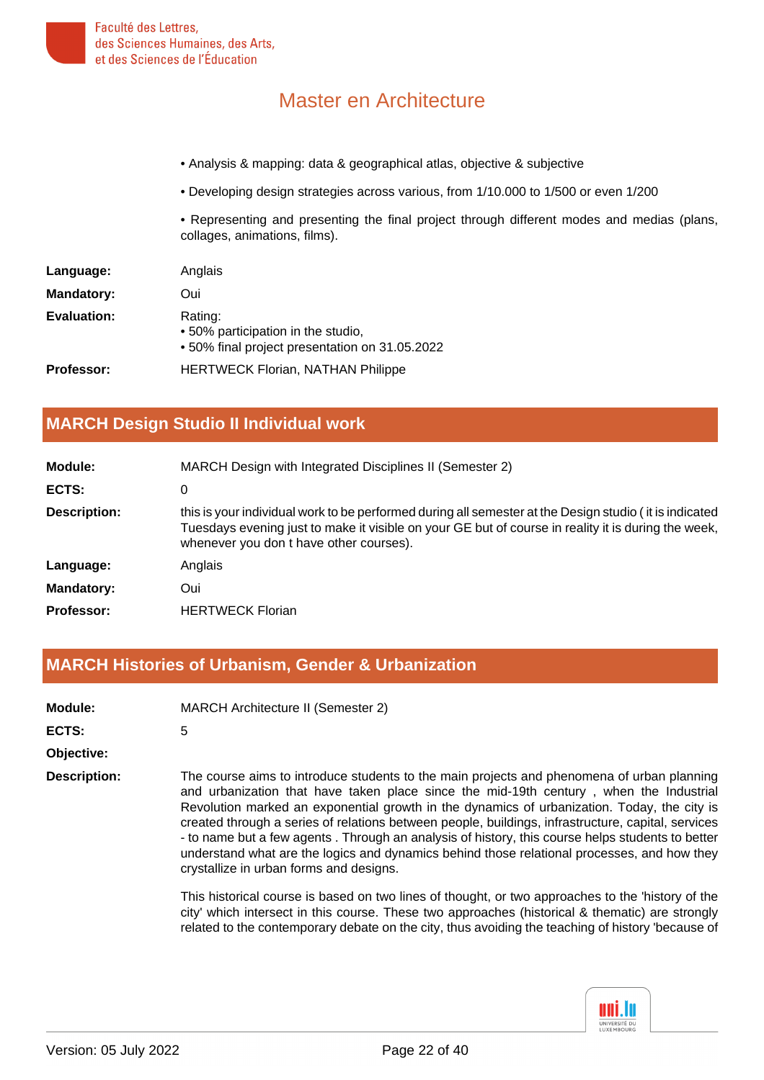- Analysis & mapping: data & geographical atlas, objective & subjective
- Developing design strategies across various, from 1/10.000 to 1/500 or even 1/200
- Representing and presenting the final project through different modes and medias (plans, collages, animations, films).

| Language:          | Anglais                                                                                         |
|--------------------|-------------------------------------------------------------------------------------------------|
| <b>Mandatory:</b>  | Oui                                                                                             |
| <b>Evaluation:</b> | Rating:<br>• 50% participation in the studio,<br>• 50% final project presentation on 31.05.2022 |
| <b>Professor:</b>  | <b>HERTWECK Florian, NATHAN Philippe</b>                                                        |

#### <span id="page-21-0"></span>**[MARCH Design Studio II Individual work](#page-1-2)**

| Module:           | MARCH Design with Integrated Disciplines II (Semester 2)                                                                                                                                                                                                 |
|-------------------|----------------------------------------------------------------------------------------------------------------------------------------------------------------------------------------------------------------------------------------------------------|
| ECTS:             | 0                                                                                                                                                                                                                                                        |
| Description:      | this is your individual work to be performed during all semester at the Design studio (it is indicated<br>Tuesdays evening just to make it visible on your GE but of course in reality it is during the week,<br>whenever you don t have other courses). |
| Language:         | Anglais                                                                                                                                                                                                                                                  |
| <b>Mandatory:</b> | Oui                                                                                                                                                                                                                                                      |
| <b>Professor:</b> | <b>HERTWECK Florian</b>                                                                                                                                                                                                                                  |

#### <span id="page-21-1"></span>**[MARCH Histories of Urbanism, Gender & Urbanization](#page-1-3)**

| Module:      | <b>MARCH Architecture II (Semester 2)</b>                                    |
|--------------|------------------------------------------------------------------------------|
| ECTS:        | 5                                                                            |
| Objective:   |                                                                              |
| Description: | The course aims to introduce students<br>and urhanization that have taken nl |

**Description:** The course aims to introduce students to the main projects and phenomena of urban planning and urbanization that have taken place since the mid-19th century , when the Industrial Revolution marked an exponential growth in the dynamics of urbanization. Today, the city is created through a series of relations between people, buildings, infrastructure, capital, services - to name but a few agents . Through an analysis of history, this course helps students to better understand what are the logics and dynamics behind those relational processes, and how they crystallize in urban forms and designs.

This historical course is based on two lines of thought, or two approaches to the 'history of the city' which intersect in this course. These two approaches (historical & thematic) are strongly related to the contemporary debate on the city, thus avoiding the teaching of history 'because of

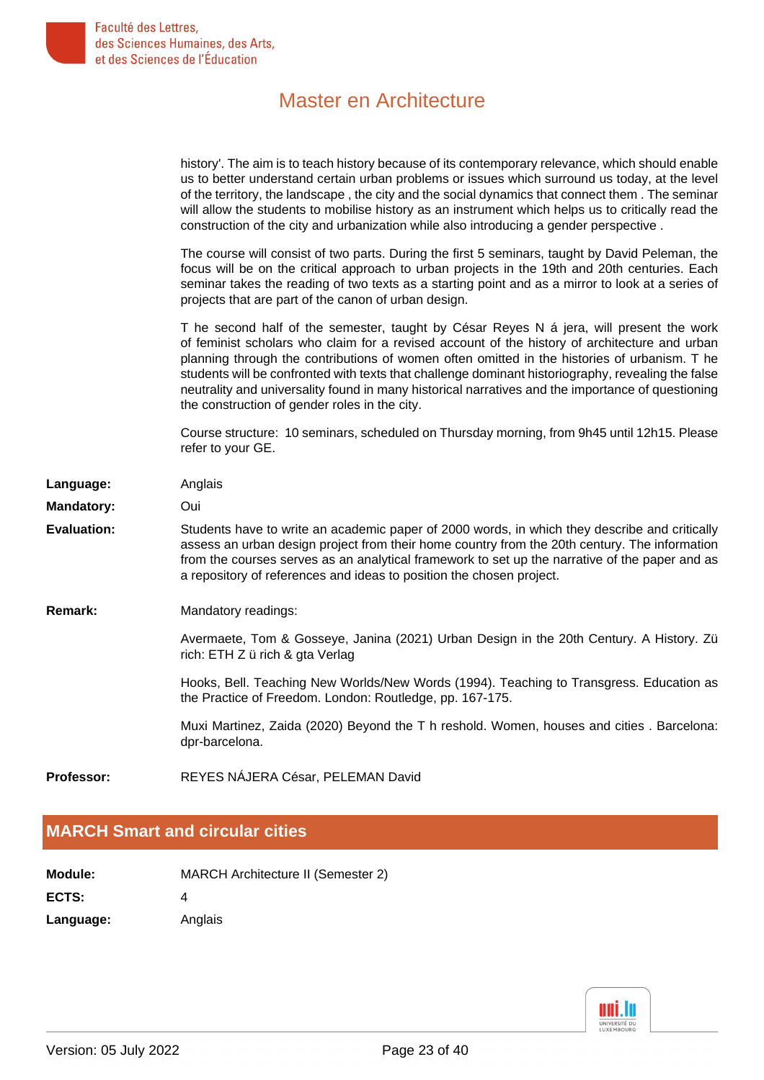|                    | history'. The aim is to teach history because of its contemporary relevance, which should enable<br>us to better understand certain urban problems or issues which surround us today, at the level<br>of the territory, the landscape, the city and the social dynamics that connect them. The seminar<br>will allow the students to mobilise history as an instrument which helps us to critically read the<br>construction of the city and urbanization while also introducing a gender perspective.                                               |
|--------------------|------------------------------------------------------------------------------------------------------------------------------------------------------------------------------------------------------------------------------------------------------------------------------------------------------------------------------------------------------------------------------------------------------------------------------------------------------------------------------------------------------------------------------------------------------|
|                    | The course will consist of two parts. During the first 5 seminars, taught by David Peleman, the<br>focus will be on the critical approach to urban projects in the 19th and 20th centuries. Each<br>seminar takes the reading of two texts as a starting point and as a mirror to look at a series of<br>projects that are part of the canon of urban design.                                                                                                                                                                                        |
|                    | T he second half of the semester, taught by César Reyes N á jera, will present the work<br>of feminist scholars who claim for a revised account of the history of architecture and urban<br>planning through the contributions of women often omitted in the histories of urbanism. T he<br>students will be confronted with texts that challenge dominant historiography, revealing the false<br>neutrality and universality found in many historical narratives and the importance of questioning<br>the construction of gender roles in the city. |
|                    | Course structure: 10 seminars, scheduled on Thursday morning, from 9h45 until 12h15. Please<br>refer to your GE.                                                                                                                                                                                                                                                                                                                                                                                                                                     |
| Language:          | Anglais                                                                                                                                                                                                                                                                                                                                                                                                                                                                                                                                              |
| <b>Mandatory:</b>  | Oui                                                                                                                                                                                                                                                                                                                                                                                                                                                                                                                                                  |
| <b>Evaluation:</b> | Students have to write an academic paper of 2000 words, in which they describe and critically<br>assess an urban design project from their home country from the 20th century. The information<br>from the courses serves as an analytical framework to set up the narrative of the paper and as<br>a repository of references and ideas to position the chosen project.                                                                                                                                                                             |
| Remark:            | Mandatory readings:                                                                                                                                                                                                                                                                                                                                                                                                                                                                                                                                  |
|                    | Avermaete, Tom & Gosseye, Janina (2021) Urban Design in the 20th Century. A History. Zü<br>rich: ETH Z ü rich & gta Verlag                                                                                                                                                                                                                                                                                                                                                                                                                           |
|                    | Hooks, Bell. Teaching New Worlds/New Words (1994). Teaching to Transgress. Education as<br>the Practice of Freedom. London: Routledge, pp. 167-175.                                                                                                                                                                                                                                                                                                                                                                                                  |
|                    | Muxi Martinez, Zaida (2020) Beyond the T h reshold. Women, houses and cities. Barcelona:<br>dpr-barcelona.                                                                                                                                                                                                                                                                                                                                                                                                                                           |
| Professor:         | REYES NÁJERA César, PELEMAN David                                                                                                                                                                                                                                                                                                                                                                                                                                                                                                                    |
|                    |                                                                                                                                                                                                                                                                                                                                                                                                                                                                                                                                                      |

### <span id="page-22-0"></span>**[MARCH Smart and circular cities](#page-1-4)**

| <b>Module:</b> | <b>MARCH Architecture II (Semester 2)</b> |
|----------------|-------------------------------------------|
| ECTS:          |                                           |

Language: Anglais

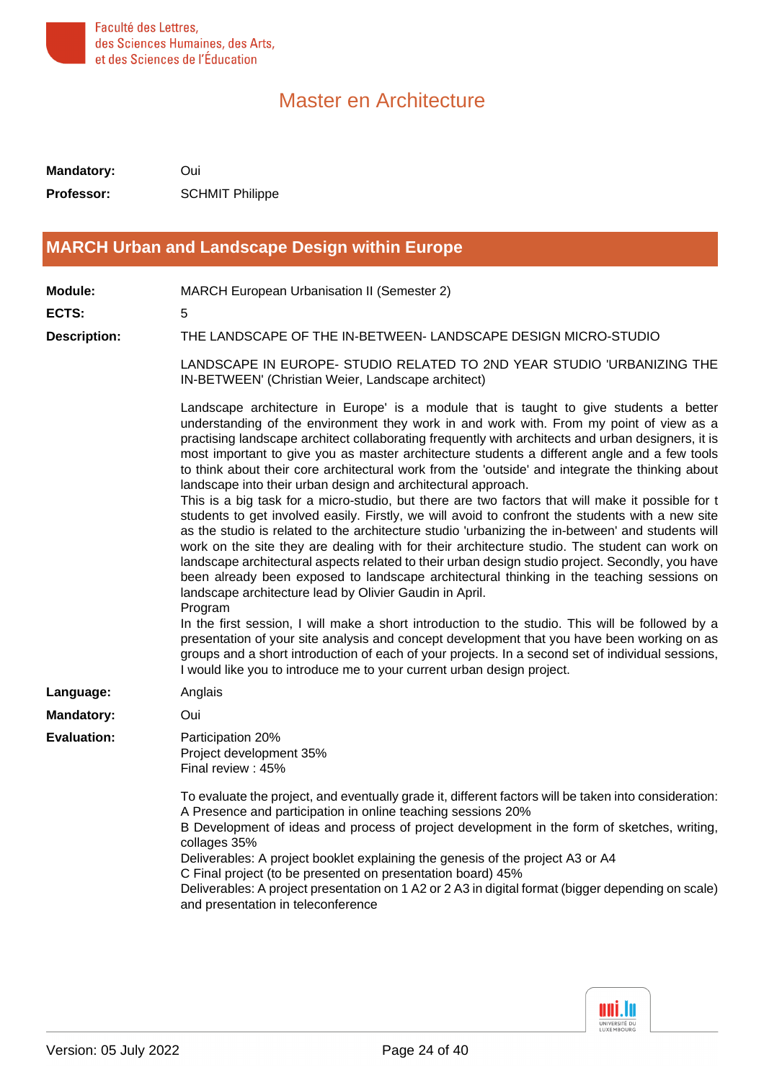

**Mandatory:** Oui **Professor:** SCHMIT Philippe

#### <span id="page-23-0"></span>**[MARCH Urban and Landscape Design within Europe](#page-1-5)**

**Module:** MARCH European Urbanisation II (Semester 2)

**ECTS:** 5

**Description:** THE LANDSCAPE OF THE IN-BETWEEN- LANDSCAPE DESIGN MICRO-STUDIO

LANDSCAPE IN EUROPE- STUDIO RELATED TO 2ND YEAR STUDIO 'URBANIZING THE IN-BETWEEN' (Christian Weier, Landscape architect)

Landscape architecture in Europe' is a module that is taught to give students a better understanding of the environment they work in and work with. From my point of view as a practising landscape architect collaborating frequently with architects and urban designers, it is most important to give you as master architecture students a different angle and a few tools to think about their core architectural work from the 'outside' and integrate the thinking about landscape into their urban design and architectural approach.

This is a big task for a micro-studio, but there are two factors that will make it possible for t students to get involved easily. Firstly, we will avoid to confront the students with a new site as the studio is related to the architecture studio 'urbanizing the in-between' and students will work on the site they are dealing with for their architecture studio. The student can work on landscape architectural aspects related to their urban design studio project. Secondly, you have been already been exposed to landscape architectural thinking in the teaching sessions on landscape architecture lead by Olivier Gaudin in April.

Program

In the first session, I will make a short introduction to the studio. This will be followed by a presentation of your site analysis and concept development that you have been working on as groups and a short introduction of each of your projects. In a second set of individual sessions, I would like you to introduce me to your current urban design project.

| Language:          | Anglais                                                                                                                                                                                                                                                                                                                                                                                                                                                                                                                                                                           |
|--------------------|-----------------------------------------------------------------------------------------------------------------------------------------------------------------------------------------------------------------------------------------------------------------------------------------------------------------------------------------------------------------------------------------------------------------------------------------------------------------------------------------------------------------------------------------------------------------------------------|
| <b>Mandatory:</b>  | Oui                                                                                                                                                                                                                                                                                                                                                                                                                                                                                                                                                                               |
| <b>Evaluation:</b> | Participation 20%<br>Project development 35%<br>Final review: 45%                                                                                                                                                                                                                                                                                                                                                                                                                                                                                                                 |
|                    | To evaluate the project, and eventually grade it, different factors will be taken into consideration:<br>A Presence and participation in online teaching sessions 20%<br>B Development of ideas and process of project development in the form of sketches, writing,<br>collages 35%<br>Deliverables: A project booklet explaining the genesis of the project A3 or A4<br>C Final project (to be presented on presentation board) 45%<br>Deliverables: A project presentation on 1 A2 or 2 A3 in digital format (bigger depending on scale)<br>and presentation in teleconference |

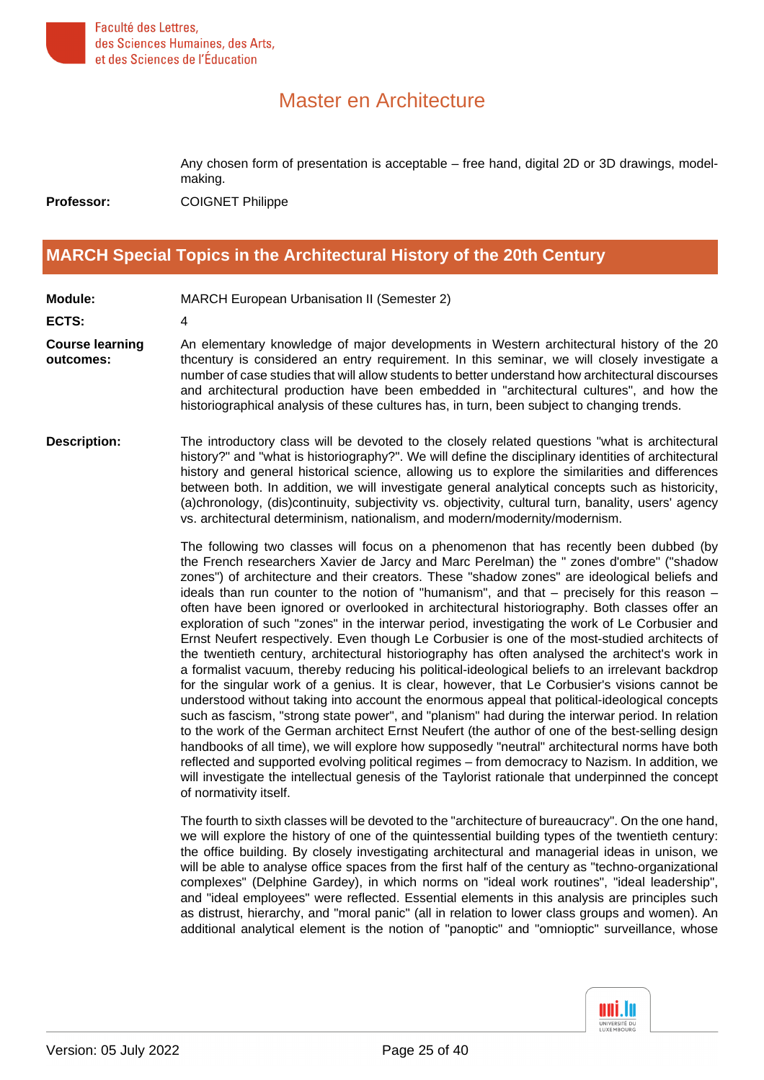

Any chosen form of presentation is acceptable – free hand, digital 2D or 3D drawings, modelmaking. **Professor:** COIGNET Philippe

#### <span id="page-24-0"></span>**[MARCH Special Topics in the Architectural History of the 20th Century](#page-1-6)**

**Module:** MARCH European Urbanisation II (Semester 2)

**ECTS:** 4

**Course learning outcomes:**

An elementary knowledge of major developments in Western architectural history of the 20 thcentury is considered an entry requirement. In this seminar, we will closely investigate a number of case studies that will allow students to better understand how architectural discourses and architectural production have been embedded in "architectural cultures", and how the historiographical analysis of these cultures has, in turn, been subject to changing trends.

**Description:** The introductory class will be devoted to the closely related questions "what is architectural history?" and "what is historiography?". We will define the disciplinary identities of architectural history and general historical science, allowing us to explore the similarities and differences between both. In addition, we will investigate general analytical concepts such as historicity, (a)chronology, (dis)continuity, subjectivity vs. objectivity, cultural turn, banality, users' agency vs. architectural determinism, nationalism, and modern/modernity/modernism.

> The following two classes will focus on a phenomenon that has recently been dubbed (by the French researchers Xavier de Jarcy and Marc Perelman) the " zones d'ombre" ("shadow zones") of architecture and their creators. These "shadow zones" are ideological beliefs and ideals than run counter to the notion of "humanism", and that  $-$  precisely for this reason  $$ often have been ignored or overlooked in architectural historiography. Both classes offer an exploration of such "zones" in the interwar period, investigating the work of Le Corbusier and Ernst Neufert respectively. Even though Le Corbusier is one of the most-studied architects of the twentieth century, architectural historiography has often analysed the architect's work in a formalist vacuum, thereby reducing his political-ideological beliefs to an irrelevant backdrop for the singular work of a genius. It is clear, however, that Le Corbusier's visions cannot be understood without taking into account the enormous appeal that political-ideological concepts such as fascism, "strong state power", and "planism" had during the interwar period. In relation to the work of the German architect Ernst Neufert (the author of one of the best-selling design handbooks of all time), we will explore how supposedly "neutral" architectural norms have both reflected and supported evolving political regimes – from democracy to Nazism. In addition, we will investigate the intellectual genesis of the Taylorist rationale that underpinned the concept of normativity itself.

> The fourth to sixth classes will be devoted to the "architecture of bureaucracy". On the one hand, we will explore the history of one of the quintessential building types of the twentieth century: the office building. By closely investigating architectural and managerial ideas in unison, we will be able to analyse office spaces from the first half of the century as "techno-organizational complexes" (Delphine Gardey), in which norms on "ideal work routines", "ideal leadership", and "ideal employees" were reflected. Essential elements in this analysis are principles such as distrust, hierarchy, and "moral panic" (all in relation to lower class groups and women). An additional analytical element is the notion of "panoptic" and "omnioptic" surveillance, whose

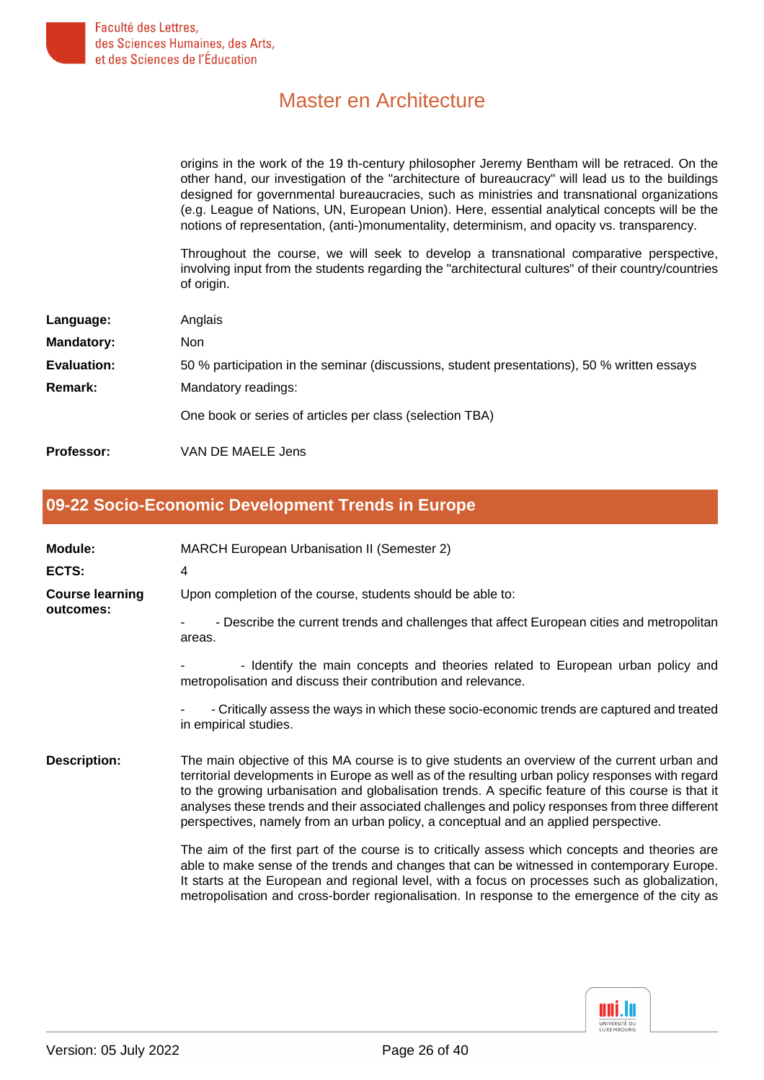origins in the work of the 19 th-century philosopher Jeremy Bentham will be retraced. On the other hand, our investigation of the "architecture of bureaucracy" will lead us to the buildings designed for governmental bureaucracies, such as ministries and transnational organizations (e.g. League of Nations, UN, European Union). Here, essential analytical concepts will be the notions of representation, (anti-)monumentality, determinism, and opacity vs. transparency.

Throughout the course, we will seek to develop a transnational comparative perspective, involving input from the students regarding the "architectural cultures" of their country/countries of origin.

| Language:         | Anglais                                                                                     |
|-------------------|---------------------------------------------------------------------------------------------|
| <b>Mandatory:</b> | Non                                                                                         |
| Evaluation:       | 50 % participation in the seminar (discussions, student presentations), 50 % written essays |
| <b>Remark:</b>    | Mandatory readings:                                                                         |
|                   | One book or series of articles per class (selection TBA)                                    |
| <b>Professor:</b> | VAN DE MAELE Jens                                                                           |

#### <span id="page-25-0"></span>**[09-22 Socio-Economic Development Trends in Europe](#page-1-7)**

| Module:<br>ECTS:                    | <b>MARCH European Urbanisation II (Semester 2)</b><br>4                                                                                                                                                                                                                                                                                                                                                                                                                                            |
|-------------------------------------|----------------------------------------------------------------------------------------------------------------------------------------------------------------------------------------------------------------------------------------------------------------------------------------------------------------------------------------------------------------------------------------------------------------------------------------------------------------------------------------------------|
| <b>Course learning</b><br>outcomes: | Upon completion of the course, students should be able to:                                                                                                                                                                                                                                                                                                                                                                                                                                         |
|                                     | - Describe the current trends and challenges that affect European cities and metropolitan<br>areas.                                                                                                                                                                                                                                                                                                                                                                                                |
|                                     | - Identify the main concepts and theories related to European urban policy and<br>metropolisation and discuss their contribution and relevance.                                                                                                                                                                                                                                                                                                                                                    |
|                                     | - Critically assess the ways in which these socio-economic trends are captured and treated<br>in empirical studies.                                                                                                                                                                                                                                                                                                                                                                                |
| <b>Description:</b>                 | The main objective of this MA course is to give students an overview of the current urban and<br>territorial developments in Europe as well as of the resulting urban policy responses with regard<br>to the growing urbanisation and globalisation trends. A specific feature of this course is that it<br>analyses these trends and their associated challenges and policy responses from three different<br>perspectives, namely from an urban policy, a conceptual and an applied perspective. |
|                                     | The aim of the first part of the course is to critically assess which concepts and theories are<br>able to make sense of the trends and changes that can be witnessed in contemporary Europe.<br>It starts at the European and regional level, with a focus on processes such as globalization,<br>metropolisation and cross-border regionalisation. In response to the emergence of the city as                                                                                                   |

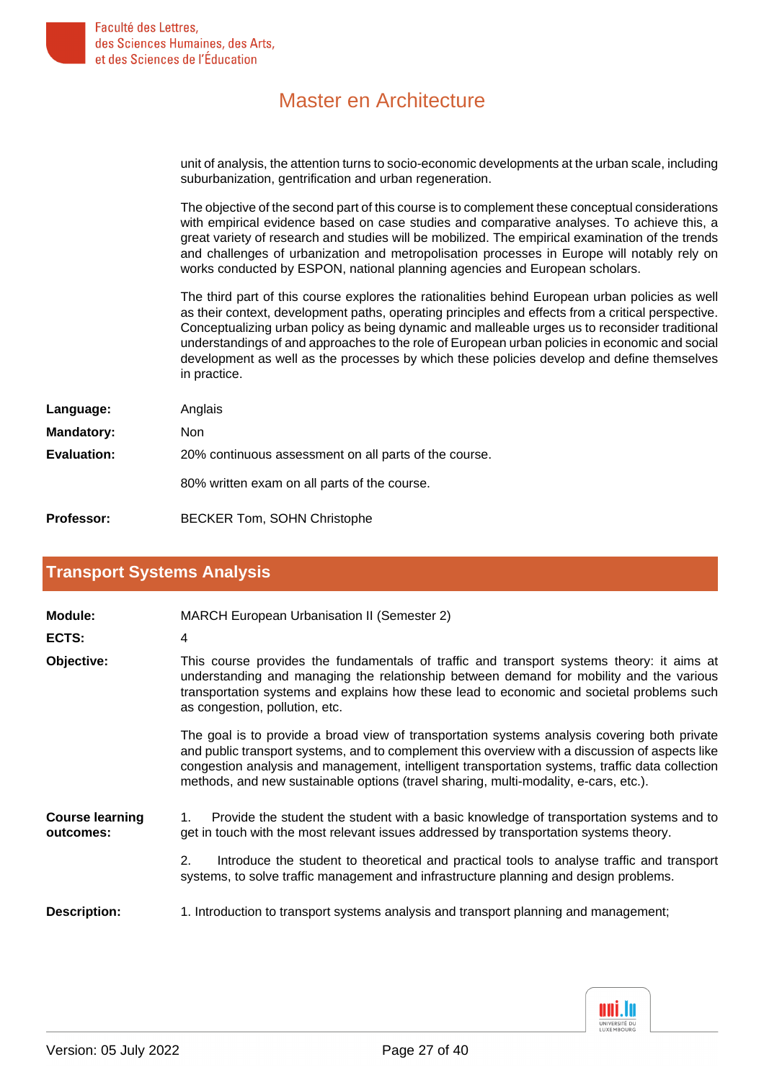

unit of analysis, the attention turns to socio-economic developments at the urban scale, including suburbanization, gentrification and urban regeneration.

The objective of the second part of this course is to complement these conceptual considerations with empirical evidence based on case studies and comparative analyses. To achieve this, a great variety of research and studies will be mobilized. The empirical examination of the trends and challenges of urbanization and metropolisation processes in Europe will notably rely on works conducted by ESPON, national planning agencies and European scholars.

The third part of this course explores the rationalities behind European urban policies as well as their context, development paths, operating principles and effects from a critical perspective. Conceptualizing urban policy as being dynamic and malleable urges us to reconsider traditional understandings of and approaches to the role of European urban policies in economic and social development as well as the processes by which these policies develop and define themselves in practice.

| Language:         | Anglais                                               |
|-------------------|-------------------------------------------------------|
| <b>Mandatory:</b> | Non.                                                  |
| Evaluation:       | 20% continuous assessment on all parts of the course. |
|                   | 80% written exam on all parts of the course.          |

<span id="page-26-0"></span>**Professor:** BECKER Tom, SOHN Christophe

#### **[Transport Systems Analysis](#page-1-8)**

| Module:                             | <b>MARCH European Urbanisation II (Semester 2)</b>                                                                                                                                                                                                                                                                                                                                         |
|-------------------------------------|--------------------------------------------------------------------------------------------------------------------------------------------------------------------------------------------------------------------------------------------------------------------------------------------------------------------------------------------------------------------------------------------|
| ECTS:                               | 4                                                                                                                                                                                                                                                                                                                                                                                          |
| Objective:                          | This course provides the fundamentals of traffic and transport systems theory: it aims at<br>understanding and managing the relationship between demand for mobility and the various<br>transportation systems and explains how these lead to economic and societal problems such<br>as congestion, pollution, etc.                                                                        |
|                                     | The goal is to provide a broad view of transportation systems analysis covering both private<br>and public transport systems, and to complement this overview with a discussion of aspects like<br>congestion analysis and management, intelligent transportation systems, traffic data collection<br>methods, and new sustainable options (travel sharing, multi-modality, e-cars, etc.). |
| <b>Course learning</b><br>outcomes: | Provide the student the student with a basic knowledge of transportation systems and to<br>1.<br>get in touch with the most relevant issues addressed by transportation systems theory.                                                                                                                                                                                                    |
|                                     | 2.<br>Introduce the student to theoretical and practical tools to analyse traffic and transport<br>systems, to solve traffic management and infrastructure planning and design problems.                                                                                                                                                                                                   |
| <b>Description:</b>                 | 1. Introduction to transport systems analysis and transport planning and management;                                                                                                                                                                                                                                                                                                       |

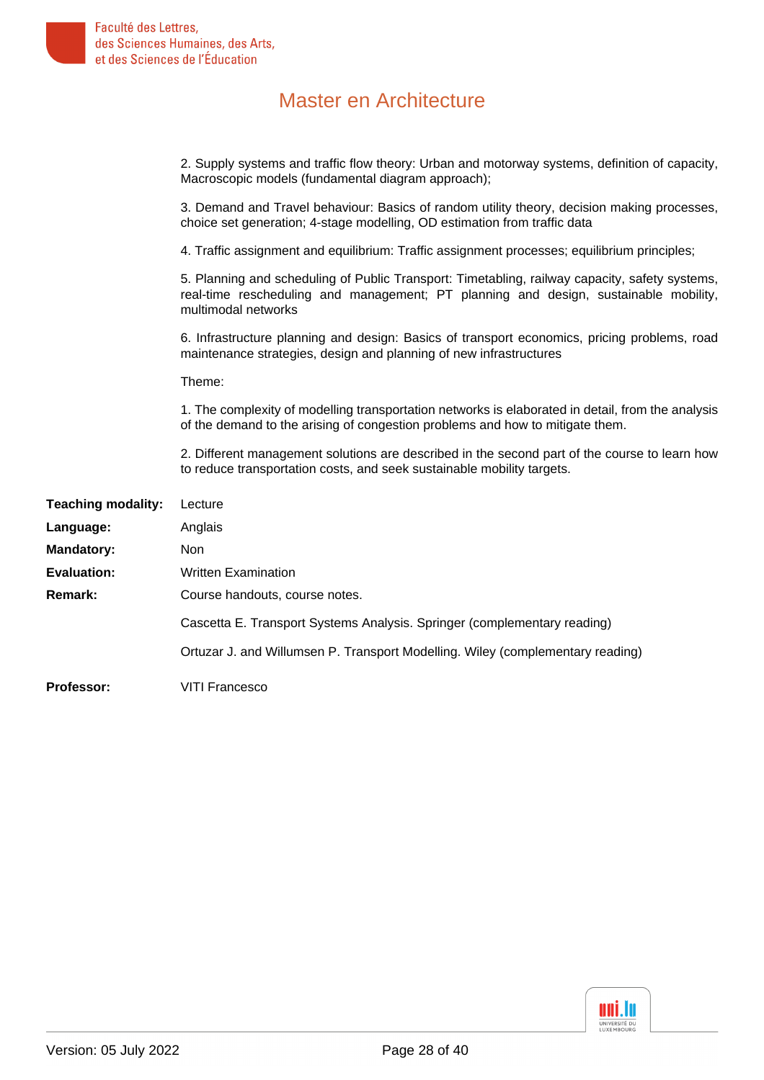|                           | 2. Supply systems and traffic flow theory: Urban and motorway systems, definition of capacity,<br>Macroscopic models (fundamental diagram approach);                                                          |
|---------------------------|---------------------------------------------------------------------------------------------------------------------------------------------------------------------------------------------------------------|
|                           | 3. Demand and Travel behaviour: Basics of random utility theory, decision making processes,<br>choice set generation; 4-stage modelling, OD estimation from traffic data                                      |
|                           | 4. Traffic assignment and equilibrium: Traffic assignment processes; equilibrium principles;                                                                                                                  |
|                           | 5. Planning and scheduling of Public Transport: Timetabling, railway capacity, safety systems,<br>real-time rescheduling and management; PT planning and design, sustainable mobility,<br>multimodal networks |
|                           | 6. Infrastructure planning and design: Basics of transport economics, pricing problems, road<br>maintenance strategies, design and planning of new infrastructures                                            |
|                           | Theme:                                                                                                                                                                                                        |
|                           | 1. The complexity of modelling transportation networks is elaborated in detail, from the analysis<br>of the demand to the arising of congestion problems and how to mitigate them.                            |
|                           | 2. Different management solutions are described in the second part of the course to learn how<br>to reduce transportation costs, and seek sustainable mobility targets.                                       |
| <b>Teaching modality:</b> | Lecture                                                                                                                                                                                                       |
| Language:                 | Anglais                                                                                                                                                                                                       |
| <b>Mandatory:</b>         | Non                                                                                                                                                                                                           |
| <b>Evaluation:</b>        | <b>Written Examination</b>                                                                                                                                                                                    |
| <b>Remark:</b>            | Course handouts, course notes.                                                                                                                                                                                |
|                           | Cascetta E. Transport Systems Analysis. Springer (complementary reading)                                                                                                                                      |
|                           | Ortuzar J. and Willumsen P. Transport Modelling. Wiley (complementary reading)                                                                                                                                |
|                           |                                                                                                                                                                                                               |

**Professor:** VITI Francesco

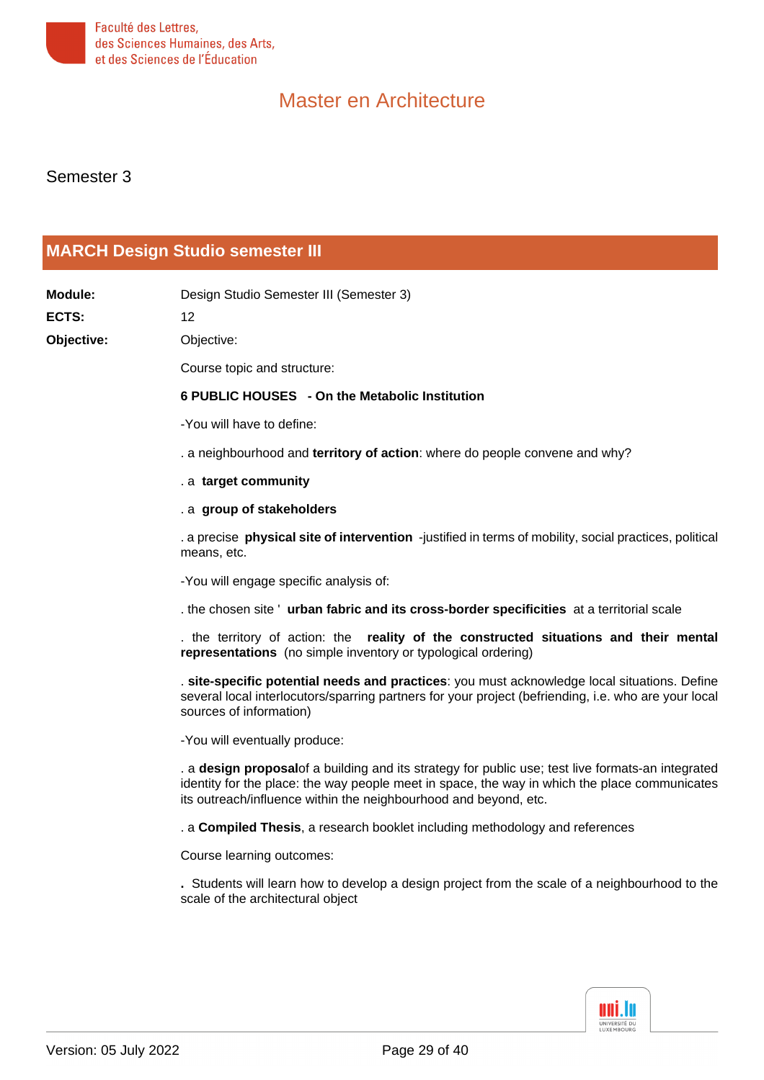

Semester 3

### <span id="page-28-0"></span>**[MARCH Design Studio semester III](#page-1-9)**

| Module:      | Design Studio Semester III (Semester 3)                                                                                                                                                                                                                                |
|--------------|------------------------------------------------------------------------------------------------------------------------------------------------------------------------------------------------------------------------------------------------------------------------|
| <b>ECTS:</b> | 12                                                                                                                                                                                                                                                                     |
| Objective:   | Objective:                                                                                                                                                                                                                                                             |
|              | Course topic and structure:                                                                                                                                                                                                                                            |
|              | 6 PUBLIC HOUSES - On the Metabolic Institution                                                                                                                                                                                                                         |
|              | -You will have to define:                                                                                                                                                                                                                                              |
|              | . a neighbourhood and territory of action: where do people convene and why?                                                                                                                                                                                            |
|              | . a target community                                                                                                                                                                                                                                                   |
|              | . a group of stakeholders                                                                                                                                                                                                                                              |
|              | a precise physical site of intervention -justified in terms of mobility, social practices, political<br>means, etc.                                                                                                                                                    |
|              | -You will engage specific analysis of:                                                                                                                                                                                                                                 |
|              | . the chosen site 'urban fabric and its cross-border specificities at a territorial scale                                                                                                                                                                              |
|              | the territory of action: the reality of the constructed situations and their mental<br>representations (no simple inventory or typological ordering)                                                                                                                   |
|              | . site-specific potential needs and practices: you must acknowledge local situations. Define<br>several local interlocutors/sparring partners for your project (befriending, i.e. who are your local<br>sources of information)                                        |
|              | -You will eventually produce:                                                                                                                                                                                                                                          |
|              | . a design proposalof a building and its strategy for public use; test live formats-an integrated<br>identity for the place: the way people meet in space, the way in which the place communicates<br>its outreach/influence within the neighbourhood and beyond, etc. |
|              | . a Compiled Thesis, a research booklet including methodology and references                                                                                                                                                                                           |
|              | Course learning outcomes:                                                                                                                                                                                                                                              |
|              | . Students will learn how to develop a design project from the scale of a neighbourhood to the<br>scale of the architectural object                                                                                                                                    |

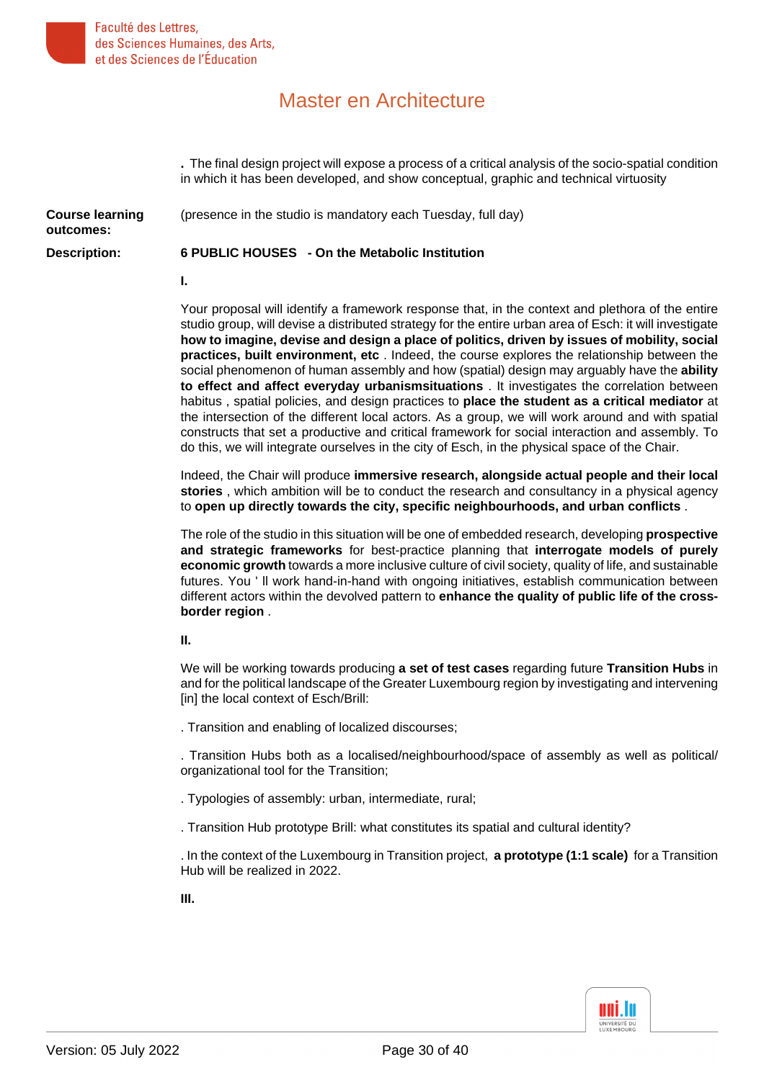

**.** The final design project will expose a process of a critical analysis of the socio-spatial condition in which it has been developed, and show conceptual, graphic and technical virtuosity **Course learning outcomes:** (presence in the studio is mandatory each Tuesday, full day) **Description: 6 PUBLIC HOUSES - On the Metabolic Institution I.** Your proposal will identify a framework response that, in the context and plethora of the entire studio group, will devise a distributed strategy for the entire urban area of Esch: it will investigate

**how to imagine, devise and design a place of politics, driven by issues of mobility, social practices, built environment, etc** . Indeed, the course explores the relationship between the social phenomenon of human assembly and how (spatial) design may arguably have the **ability to effect and affect everyday urbanismsituations** . It investigates the correlation between habitus , spatial policies, and design practices to **place the student as a critical mediator** at the intersection of the different local actors. As a group, we will work around and with spatial constructs that set a productive and critical framework for social interaction and assembly. To do this, we will integrate ourselves in the city of Esch, in the physical space of the Chair.

Indeed, the Chair will produce **immersive research, alongside actual people and their local stories** , which ambition will be to conduct the research and consultancy in a physical agency to **open up directly towards the city, specific neighbourhoods, and urban conflicts** .

The role of the studio in this situation will be one of embedded research, developing **prospective and strategic frameworks** for best-practice planning that **interrogate models of purely economic growth** towards a more inclusive culture of civil society, quality of life, and sustainable futures. You ' ll work hand-in-hand with ongoing initiatives, establish communication between different actors within the devolved pattern to **enhance the quality of public life of the crossborder region** .

#### **II.**

We will be working towards producing **a set of test cases** regarding future **Transition Hubs** in and for the political landscape of the Greater Luxembourg region by investigating and intervening [in] the local context of Esch/Brill:

. Transition and enabling of localized discourses;

. Transition Hubs both as a localised/neighbourhood/space of assembly as well as political/ organizational tool for the Transition;

- . Typologies of assembly: urban, intermediate, rural;
- . Transition Hub prototype Brill: what constitutes its spatial and cultural identity?

. In the context of the Luxembourg in Transition project, **a prototype (1:1 scale)** for a Transition Hub will be realized in 2022.

**III.**

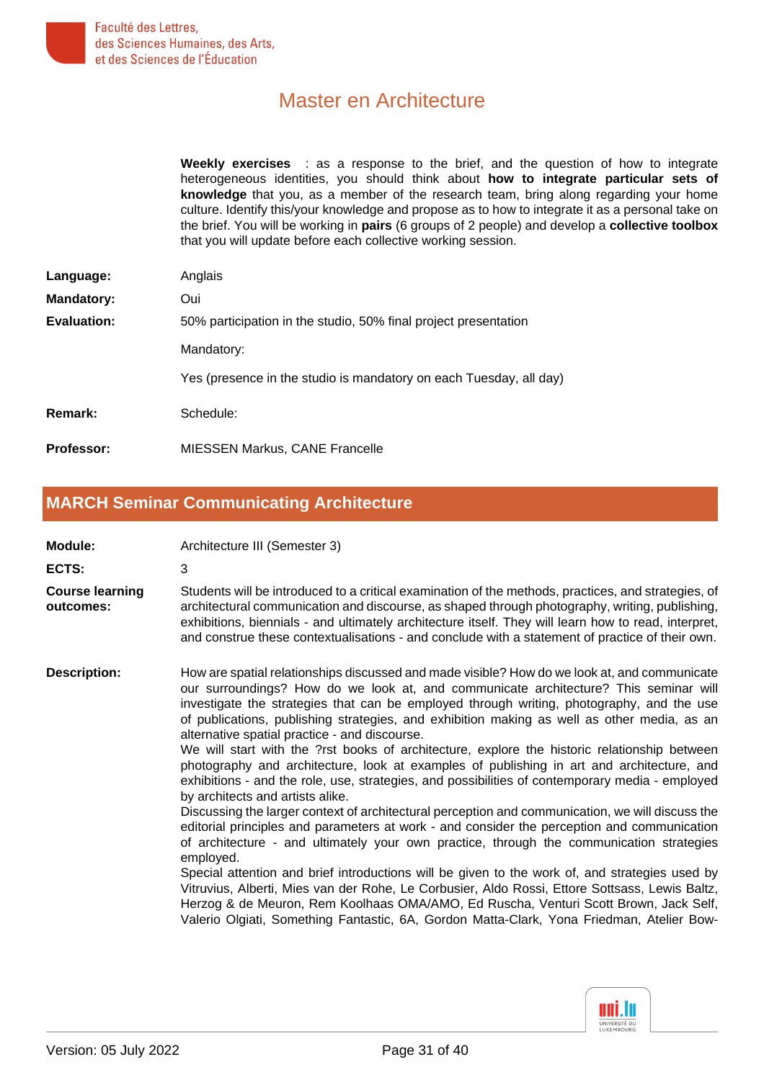

**Weekly exercises** : as a response to the brief, and the question of how to integrate heterogeneous identities, you should think about **how to integrate particular sets of knowledge** that you, as a member of the research team, bring along regarding your home culture. Identify this/your knowledge and propose as to how to integrate it as a personal take on the brief. You will be working in **pairs** (6 groups of 2 people) and develop a **collective toolbox** that you will update before each collective working session.

| Language:         | Anglais                                                            |
|-------------------|--------------------------------------------------------------------|
| <b>Mandatory:</b> | Oui                                                                |
| Evaluation:       | 50% participation in the studio, 50% final project presentation    |
|                   | Mandatory:                                                         |
|                   | Yes (presence in the studio is mandatory on each Tuesday, all day) |
| Remark:           | Schedule:                                                          |
| <b>Professor:</b> | <b>MIESSEN Markus, CANE Francelle</b>                              |

#### <span id="page-30-0"></span>**[MARCH Seminar Communicating Architecture](#page-2-0)**

| Module:                             | Architecture III (Semester 3)                                                                                                                                                                                                                                                                                                                                                                                                                                                                                                                                                                                                                                                                                                                                                                                                                                                                                                                                                                                                                                                                                                                                                                                                                                                                                                                                                                                                                                              |
|-------------------------------------|----------------------------------------------------------------------------------------------------------------------------------------------------------------------------------------------------------------------------------------------------------------------------------------------------------------------------------------------------------------------------------------------------------------------------------------------------------------------------------------------------------------------------------------------------------------------------------------------------------------------------------------------------------------------------------------------------------------------------------------------------------------------------------------------------------------------------------------------------------------------------------------------------------------------------------------------------------------------------------------------------------------------------------------------------------------------------------------------------------------------------------------------------------------------------------------------------------------------------------------------------------------------------------------------------------------------------------------------------------------------------------------------------------------------------------------------------------------------------|
| ECTS:                               | 3                                                                                                                                                                                                                                                                                                                                                                                                                                                                                                                                                                                                                                                                                                                                                                                                                                                                                                                                                                                                                                                                                                                                                                                                                                                                                                                                                                                                                                                                          |
| <b>Course learning</b><br>outcomes: | Students will be introduced to a critical examination of the methods, practices, and strategies, of<br>architectural communication and discourse, as shaped through photography, writing, publishing,<br>exhibitions, biennials - and ultimately architecture itself. They will learn how to read, interpret,<br>and construe these contextualisations - and conclude with a statement of practice of their own.                                                                                                                                                                                                                                                                                                                                                                                                                                                                                                                                                                                                                                                                                                                                                                                                                                                                                                                                                                                                                                                           |
| <b>Description:</b>                 | How are spatial relationships discussed and made visible? How do we look at, and communicate<br>our surroundings? How do we look at, and communicate architecture? This seminar will<br>investigate the strategies that can be employed through writing, photography, and the use<br>of publications, publishing strategies, and exhibition making as well as other media, as an<br>alternative spatial practice - and discourse.<br>We will start with the ?rst books of architecture, explore the historic relationship between<br>photography and architecture, look at examples of publishing in art and architecture, and<br>exhibitions - and the role, use, strategies, and possibilities of contemporary media - employed<br>by architects and artists alike.<br>Discussing the larger context of architectural perception and communication, we will discuss the<br>editorial principles and parameters at work - and consider the perception and communication<br>of architecture - and ultimately your own practice, through the communication strategies<br>employed.<br>Special attention and brief introductions will be given to the work of, and strategies used by<br>Vitruvius, Alberti, Mies van der Rohe, Le Corbusier, Aldo Rossi, Ettore Sottsass, Lewis Baltz,<br>Herzog & de Meuron, Rem Koolhaas OMA/AMO, Ed Ruscha, Venturi Scott Brown, Jack Self,<br>Valerio Olgiati, Something Fantastic, 6A, Gordon Matta-Clark, Yona Friedman, Atelier Bow- |

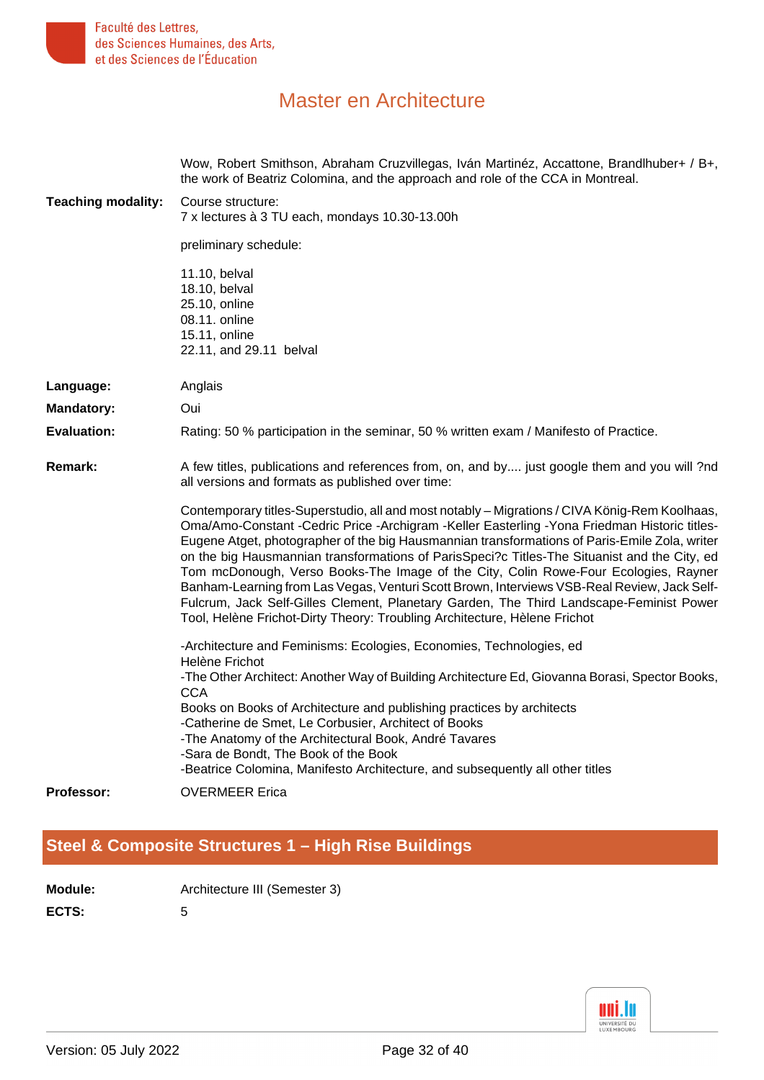

| <b>Teaching modality:</b> | Wow, Robert Smithson, Abraham Cruzvillegas, Iván Martinéz, Accattone, Brandlhuber+ / B+,<br>the work of Beatriz Colomina, and the approach and role of the CCA in Montreal.<br>Course structure:<br>7 x lectures à 3 TU each, mondays 10.30-13.00h                                                                                                                                                                                                                                                                                                                                                                                                                                                                                                           |
|---------------------------|--------------------------------------------------------------------------------------------------------------------------------------------------------------------------------------------------------------------------------------------------------------------------------------------------------------------------------------------------------------------------------------------------------------------------------------------------------------------------------------------------------------------------------------------------------------------------------------------------------------------------------------------------------------------------------------------------------------------------------------------------------------|
|                           | preliminary schedule:                                                                                                                                                                                                                                                                                                                                                                                                                                                                                                                                                                                                                                                                                                                                        |
|                           | 11.10, belval<br>18.10, belval<br>25.10, online<br>08.11. online<br>15.11, online<br>22.11, and 29.11 belval                                                                                                                                                                                                                                                                                                                                                                                                                                                                                                                                                                                                                                                 |
| Language:                 | Anglais                                                                                                                                                                                                                                                                                                                                                                                                                                                                                                                                                                                                                                                                                                                                                      |
| <b>Mandatory:</b>         | Oui                                                                                                                                                                                                                                                                                                                                                                                                                                                                                                                                                                                                                                                                                                                                                          |
| <b>Evaluation:</b>        | Rating: 50 % participation in the seminar, 50 % written exam / Manifesto of Practice.                                                                                                                                                                                                                                                                                                                                                                                                                                                                                                                                                                                                                                                                        |
| <b>Remark:</b>            | A few titles, publications and references from, on, and by just google them and you will ?nd<br>all versions and formats as published over time:                                                                                                                                                                                                                                                                                                                                                                                                                                                                                                                                                                                                             |
|                           | Contemporary titles-Superstudio, all and most notably - Migrations / CIVA König-Rem Koolhaas,<br>Oma/Amo-Constant -Cedric Price -Archigram -Keller Easterling -Yona Friedman Historic titles-<br>Eugene Atget, photographer of the big Hausmannian transformations of Paris-Emile Zola, writer<br>on the big Hausmannian transformations of ParisSpeci?c Titles-The Situanist and the City, ed<br>Tom mcDonough, Verso Books-The Image of the City, Colin Rowe-Four Ecologies, Rayner<br>Banham-Learning from Las Vegas, Venturi Scott Brown, Interviews VSB-Real Review, Jack Self-<br>Fulcrum, Jack Self-Gilles Clement, Planetary Garden, The Third Landscape-Feminist Power<br>Tool, Helène Frichot-Dirty Theory: Troubling Architecture, Hèlene Frichot |
|                           | -Architecture and Feminisms: Ecologies, Economies, Technologies, ed<br>Helène Frichot<br>-The Other Architect: Another Way of Building Architecture Ed, Giovanna Borasi, Spector Books,                                                                                                                                                                                                                                                                                                                                                                                                                                                                                                                                                                      |
|                           | <b>CCA</b><br>Books on Books of Architecture and publishing practices by architects<br>-Catherine de Smet, Le Corbusier, Architect of Books<br>-The Anatomy of the Architectural Book, André Tavares<br>-Sara de Bondt, The Book of the Book<br>-Beatrice Colomina, Manifesto Architecture, and subsequently all other titles                                                                                                                                                                                                                                                                                                                                                                                                                                |
| <b>Professor:</b>         | <b>OVERMEER Erica</b>                                                                                                                                                                                                                                                                                                                                                                                                                                                                                                                                                                                                                                                                                                                                        |

### <span id="page-31-0"></span>**[Steel & Composite Structures 1 – High Rise Buildings](#page-2-1)**

| <b>Module:</b> | Architecture III (Semester 3) |
|----------------|-------------------------------|
| ECTS:          |                               |

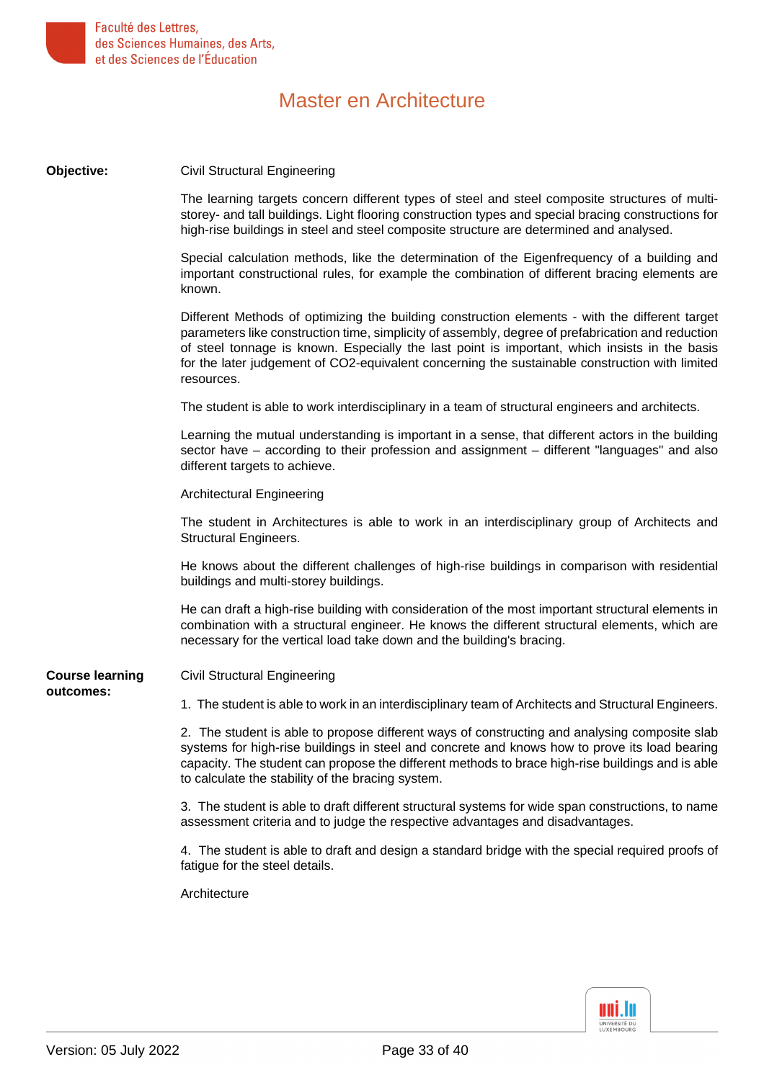

| Objective:             | <b>Civil Structural Engineering</b>                                                                                                                                                                                                                                                                                                                                                                                  |
|------------------------|----------------------------------------------------------------------------------------------------------------------------------------------------------------------------------------------------------------------------------------------------------------------------------------------------------------------------------------------------------------------------------------------------------------------|
|                        | The learning targets concern different types of steel and steel composite structures of multi-<br>storey- and tall buildings. Light flooring construction types and special bracing constructions for<br>high-rise buildings in steel and steel composite structure are determined and analysed.                                                                                                                     |
|                        | Special calculation methods, like the determination of the Eigenfrequency of a building and<br>important constructional rules, for example the combination of different bracing elements are<br>known.                                                                                                                                                                                                               |
|                        | Different Methods of optimizing the building construction elements - with the different target<br>parameters like construction time, simplicity of assembly, degree of prefabrication and reduction<br>of steel tonnage is known. Especially the last point is important, which insists in the basis<br>for the later judgement of CO2-equivalent concerning the sustainable construction with limited<br>resources. |
|                        | The student is able to work interdisciplinary in a team of structural engineers and architects.                                                                                                                                                                                                                                                                                                                      |
|                        | Learning the mutual understanding is important in a sense, that different actors in the building<br>sector have – according to their profession and assignment – different "languages" and also<br>different targets to achieve.                                                                                                                                                                                     |
|                        | <b>Architectural Engineering</b>                                                                                                                                                                                                                                                                                                                                                                                     |
|                        | The student in Architectures is able to work in an interdisciplinary group of Architects and<br>Structural Engineers.                                                                                                                                                                                                                                                                                                |
|                        | He knows about the different challenges of high-rise buildings in comparison with residential<br>buildings and multi-storey buildings.                                                                                                                                                                                                                                                                               |
|                        | He can draft a high-rise building with consideration of the most important structural elements in<br>combination with a structural engineer. He knows the different structural elements, which are<br>necessary for the vertical load take down and the building's bracing.                                                                                                                                          |
| <b>Course learning</b> | <b>Civil Structural Engineering</b>                                                                                                                                                                                                                                                                                                                                                                                  |
| outcomes:              | 1. The student is able to work in an interdisciplinary team of Architects and Structural Engineers.                                                                                                                                                                                                                                                                                                                  |
|                        | 2. The student is able to propose different ways of constructing and analysing composite slab<br>systems for high-rise buildings in steel and concrete and knows how to prove its load bearing<br>capacity. The student can propose the different methods to brace high-rise buildings and is able<br>to calculate the stability of the bracing system.                                                              |
|                        | 3. The student is able to draft different structural systems for wide span constructions, to name<br>assessment criteria and to judge the respective advantages and disadvantages.                                                                                                                                                                                                                                   |
|                        | 4. The student is able to draft and design a standard bridge with the special required proofs of<br>fatigue for the steel details.                                                                                                                                                                                                                                                                                   |
|                        | Architecture                                                                                                                                                                                                                                                                                                                                                                                                         |

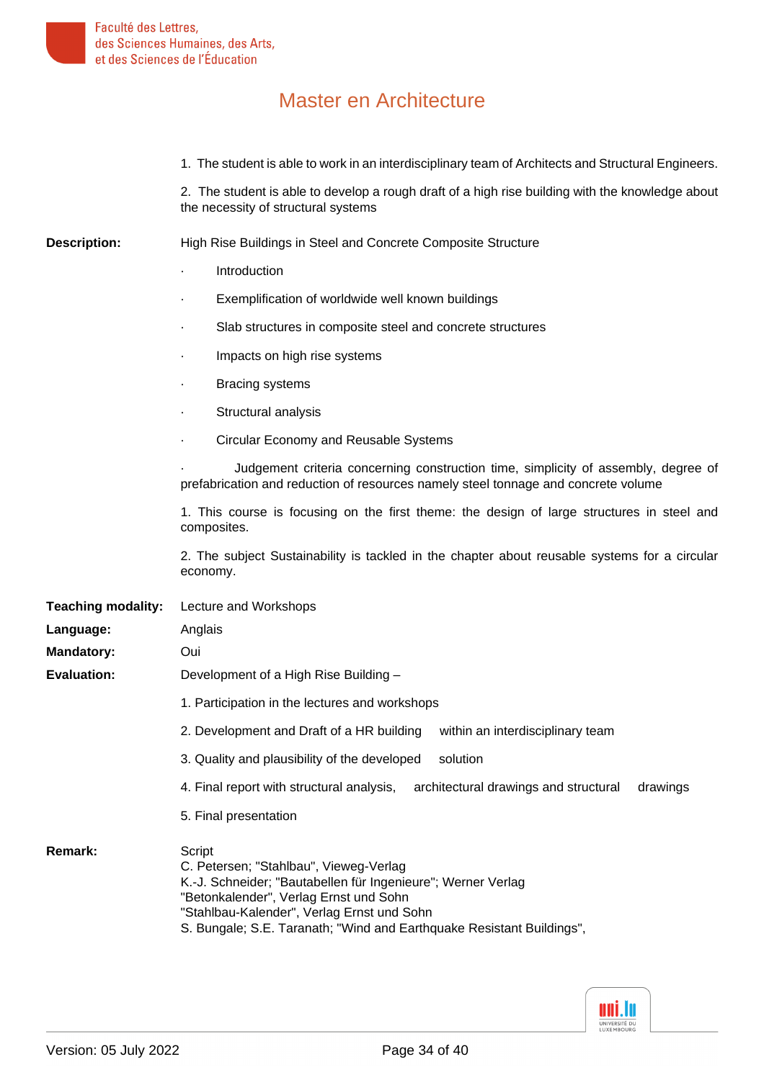1. The student is able to work in an interdisciplinary team of Architects and Structural Engineers.

2. The student is able to develop a rough draft of a high rise building with the knowledge about the necessity of structural systems

**Description:** High Rise Buildings in Steel and Concrete Composite Structure

- **Introduction**
- Exemplification of worldwide well known buildings
- Slab structures in composite steel and concrete structures
- Impacts on high rise systems
- **Bracing systems**
- Structural analysis
- · Circular Economy and Reusable Systems

Judgement criteria concerning construction time, simplicity of assembly, degree of prefabrication and reduction of resources namely steel tonnage and concrete volume

1. This course is focusing on the first theme: the design of large structures in steel and composites.

2. The subject Sustainability is tackled in the chapter about reusable systems for a circular economy.

**Teaching modality:** Lecture and Workshops

| Language:          | Anglais                                                                                        |  |  |  |  |
|--------------------|------------------------------------------------------------------------------------------------|--|--|--|--|
| <b>Mandatory:</b>  | Oui                                                                                            |  |  |  |  |
| <b>Evaluation:</b> | Development of a High Rise Building -                                                          |  |  |  |  |
|                    | 1. Participation in the lectures and workshops                                                 |  |  |  |  |
|                    | 2. Development and Draft of a HR building<br>within an interdisciplinary team                  |  |  |  |  |
|                    | 3. Quality and plausibility of the developed<br>solution                                       |  |  |  |  |
|                    | 4. Final report with structural analysis,<br>architectural drawings and structural<br>drawings |  |  |  |  |
|                    | 5. Final presentation                                                                          |  |  |  |  |
|                    |                                                                                                |  |  |  |  |

Remark: Script C. Petersen; "Stahlbau", Vieweg-Verlag K.-J. Schneider; "Bautabellen für Ingenieure"; Werner Verlag "Betonkalender", Verlag Ernst und Sohn "Stahlbau-Kalender", Verlag Ernst und Sohn S. Bungale; S.E. Taranath; "Wind and Earthquake Resistant Buildings",

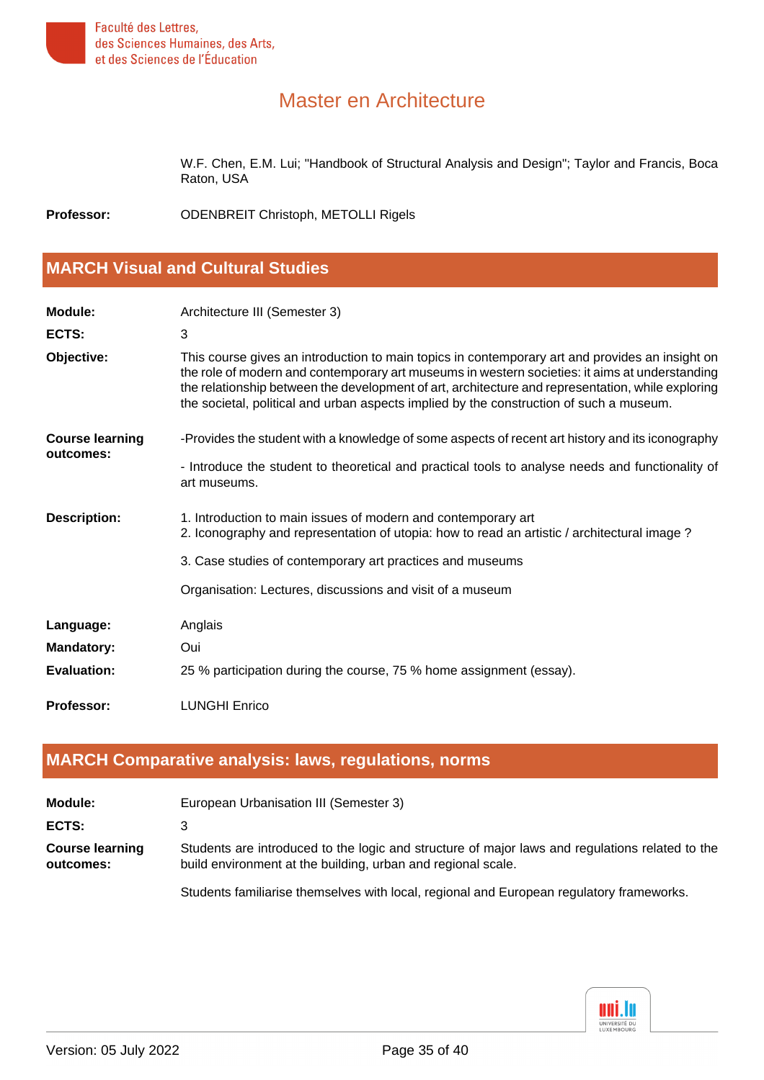

W.F. Chen, E.M. Lui; "Handbook of Structural Analysis and Design"; Taylor and Francis, Boca Raton, USA

<span id="page-34-0"></span>**Professor:** ODENBREIT Christoph, METOLLI Rigels

#### **[MARCH Visual and Cultural Studies](#page-2-2)**

| <b>Module:</b>                      | Architecture III (Semester 3)                                                                                                                                                                                                                                                                                                                                                                     |  |  |  |  |
|-------------------------------------|---------------------------------------------------------------------------------------------------------------------------------------------------------------------------------------------------------------------------------------------------------------------------------------------------------------------------------------------------------------------------------------------------|--|--|--|--|
| ECTS:                               | 3                                                                                                                                                                                                                                                                                                                                                                                                 |  |  |  |  |
| Objective:                          | This course gives an introduction to main topics in contemporary art and provides an insight on<br>the role of modern and contemporary art museums in western societies: it aims at understanding<br>the relationship between the development of art, architecture and representation, while exploring<br>the societal, political and urban aspects implied by the construction of such a museum. |  |  |  |  |
| <b>Course learning</b><br>outcomes: | -Provides the student with a knowledge of some aspects of recent art history and its iconography                                                                                                                                                                                                                                                                                                  |  |  |  |  |
|                                     | - Introduce the student to theoretical and practical tools to analyse needs and functionality of<br>art museums.                                                                                                                                                                                                                                                                                  |  |  |  |  |
| <b>Description:</b>                 | 1. Introduction to main issues of modern and contemporary art<br>2. Iconography and representation of utopia: how to read an artistic / architectural image?                                                                                                                                                                                                                                      |  |  |  |  |
|                                     | 3. Case studies of contemporary art practices and museums                                                                                                                                                                                                                                                                                                                                         |  |  |  |  |
|                                     | Organisation: Lectures, discussions and visit of a museum                                                                                                                                                                                                                                                                                                                                         |  |  |  |  |
| Language:                           | Anglais                                                                                                                                                                                                                                                                                                                                                                                           |  |  |  |  |
| <b>Mandatory:</b>                   | Oui                                                                                                                                                                                                                                                                                                                                                                                               |  |  |  |  |
| <b>Evaluation:</b>                  | 25 % participation during the course, 75 % home assignment (essay).                                                                                                                                                                                                                                                                                                                               |  |  |  |  |
| <b>Professor:</b>                   | <b>LUNGHI Enrico</b>                                                                                                                                                                                                                                                                                                                                                                              |  |  |  |  |

#### <span id="page-34-1"></span>**[MARCH Comparative analysis: laws, regulations, norms](#page-2-3)**

| <b>Module:</b>                      | European Urbanisation III (Semester 3)                                                                                                                          |
|-------------------------------------|-----------------------------------------------------------------------------------------------------------------------------------------------------------------|
| ECTS:                               |                                                                                                                                                                 |
| <b>Course learning</b><br>outcomes: | Students are introduced to the logic and structure of major laws and regulations related to the<br>build environment at the building, urban and regional scale. |

Students familiarise themselves with local, regional and European regulatory frameworks.

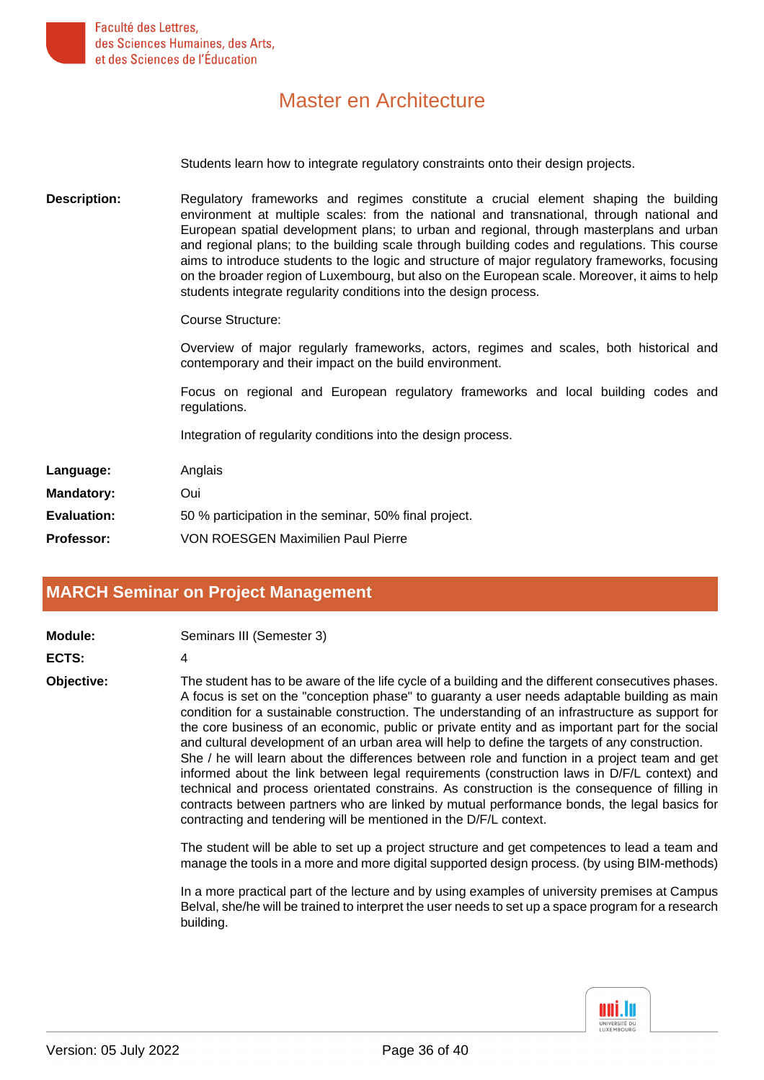

Students learn how to integrate regulatory constraints onto their design projects.

**Description:** Regulatory frameworks and regimes constitute a crucial element shaping the building environment at multiple scales: from the national and transnational, through national and European spatial development plans; to urban and regional, through masterplans and urban and regional plans; to the building scale through building codes and regulations. This course aims to introduce students to the logic and structure of major regulatory frameworks, focusing on the broader region of Luxembourg, but also on the European scale. Moreover, it aims to help students integrate regularity conditions into the design process.

Course Structure:

Overview of major regularly frameworks, actors, regimes and scales, both historical and contemporary and their impact on the build environment.

Focus on regional and European regulatory frameworks and local building codes and regulations.

Integration of regularity conditions into the design process.

| Language:         | Anglais                                               |
|-------------------|-------------------------------------------------------|
| <b>Mandatory:</b> | Oui                                                   |
| Evaluation:       | 50 % participation in the seminar, 50% final project. |
| <b>Professor:</b> | <b>VON ROESGEN Maximilien Paul Pierre</b>             |

#### <span id="page-35-0"></span>**[MARCH Seminar on Project Management](#page-2-4)**

| Seminars III (Semester 3)<br>Module: |  |
|--------------------------------------|--|
|--------------------------------------|--|

**ECTS:** 4

**Objective:** The student has to be aware of the life cycle of a building and the different consecutives phases. A focus is set on the "conception phase" to guaranty a user needs adaptable building as main condition for a sustainable construction. The understanding of an infrastructure as support for the core business of an economic, public or private entity and as important part for the social and cultural development of an urban area will help to define the targets of any construction. She / he will learn about the differences between role and function in a project team and get informed about the link between legal requirements (construction laws in D/F/L context) and technical and process orientated constrains. As construction is the consequence of filling in contracts between partners who are linked by mutual performance bonds, the legal basics for contracting and tendering will be mentioned in the D/F/L context.

> The student will be able to set up a project structure and get competences to lead a team and manage the tools in a more and more digital supported design process. (by using BIM-methods)

> In a more practical part of the lecture and by using examples of university premises at Campus Belval, she/he will be trained to interpret the user needs to set up a space program for a research building.

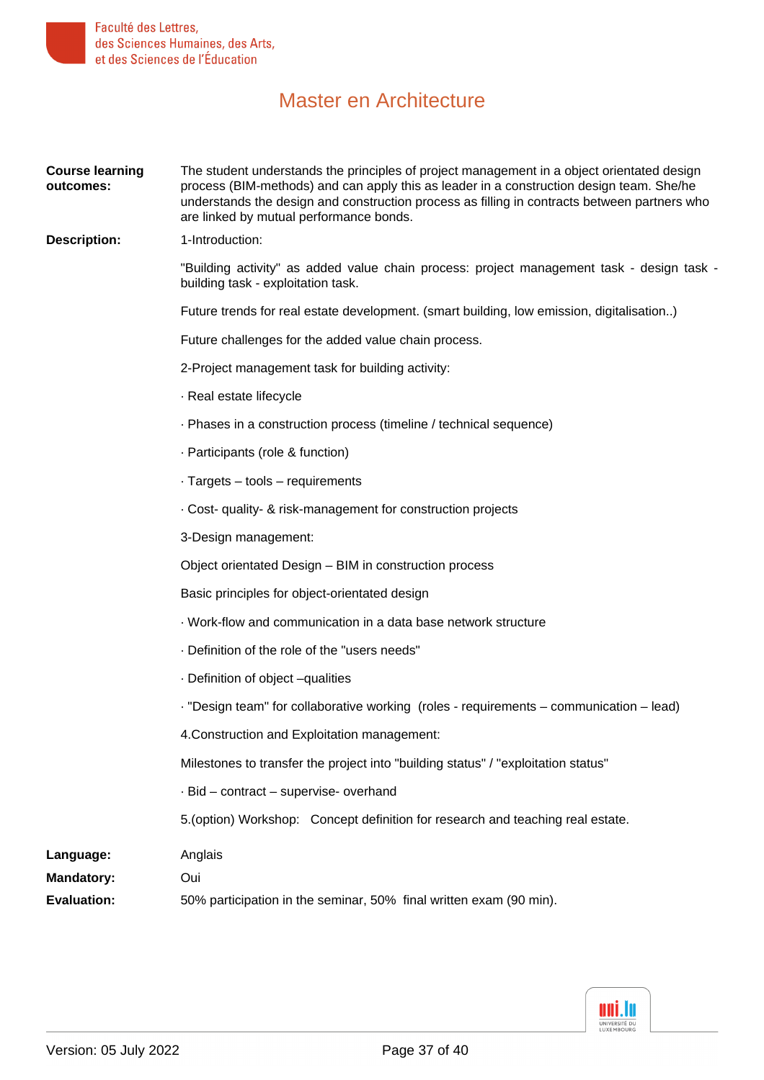

| <b>Course learning</b><br>outcomes: | The student understands the principles of project management in a object orientated design<br>process (BIM-methods) and can apply this as leader in a construction design team. She/he<br>understands the design and construction process as filling in contracts between partners who<br>are linked by mutual performance bonds. |  |  |  |  |
|-------------------------------------|-----------------------------------------------------------------------------------------------------------------------------------------------------------------------------------------------------------------------------------------------------------------------------------------------------------------------------------|--|--|--|--|
| <b>Description:</b>                 | 1-Introduction:                                                                                                                                                                                                                                                                                                                   |  |  |  |  |
|                                     | "Building activity" as added value chain process: project management task - design task -<br>building task - exploitation task.                                                                                                                                                                                                   |  |  |  |  |
|                                     | Future trends for real estate development. (smart building, low emission, digitalisation)                                                                                                                                                                                                                                         |  |  |  |  |
|                                     | Future challenges for the added value chain process.                                                                                                                                                                                                                                                                              |  |  |  |  |
|                                     | 2-Project management task for building activity:                                                                                                                                                                                                                                                                                  |  |  |  |  |
|                                     | · Real estate lifecycle                                                                                                                                                                                                                                                                                                           |  |  |  |  |
|                                     | - Phases in a construction process (timeline / technical sequence)                                                                                                                                                                                                                                                                |  |  |  |  |
|                                     | · Participants (role & function)                                                                                                                                                                                                                                                                                                  |  |  |  |  |
|                                     | $\cdot$ Targets – tools – requirements                                                                                                                                                                                                                                                                                            |  |  |  |  |
|                                     | . Cost- quality- & risk-management for construction projects                                                                                                                                                                                                                                                                      |  |  |  |  |
|                                     | 3-Design management:                                                                                                                                                                                                                                                                                                              |  |  |  |  |
|                                     | Object orientated Design - BIM in construction process                                                                                                                                                                                                                                                                            |  |  |  |  |
|                                     | Basic principles for object-orientated design                                                                                                                                                                                                                                                                                     |  |  |  |  |
|                                     | Work-flow and communication in a data base network structure                                                                                                                                                                                                                                                                      |  |  |  |  |
|                                     | . Definition of the role of the "users needs"                                                                                                                                                                                                                                                                                     |  |  |  |  |
|                                     | - Definition of object -qualities                                                                                                                                                                                                                                                                                                 |  |  |  |  |
|                                     | - "Design team" for collaborative working (roles - requirements - communication - lead)                                                                                                                                                                                                                                           |  |  |  |  |
|                                     | 4. Construction and Exploitation management:                                                                                                                                                                                                                                                                                      |  |  |  |  |
|                                     | Milestones to transfer the project into "building status" / "exploitation status"                                                                                                                                                                                                                                                 |  |  |  |  |
|                                     | - Bid - contract - supervise- overhand                                                                                                                                                                                                                                                                                            |  |  |  |  |
|                                     | 5. (option) Workshop: Concept definition for research and teaching real estate.                                                                                                                                                                                                                                                   |  |  |  |  |
| Language:                           | Anglais                                                                                                                                                                                                                                                                                                                           |  |  |  |  |
| <b>Mandatory:</b>                   | Oui                                                                                                                                                                                                                                                                                                                               |  |  |  |  |
| <b>Evaluation:</b>                  | 50% participation in the seminar, 50% final written exam (90 min).                                                                                                                                                                                                                                                                |  |  |  |  |

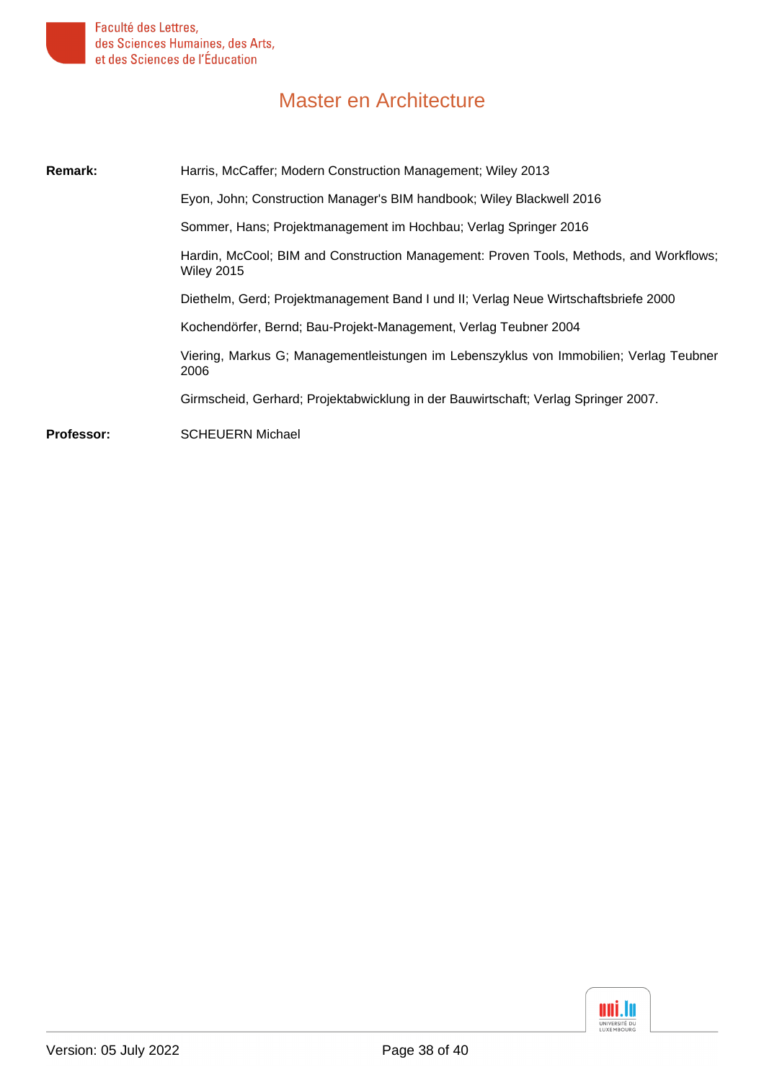

| Remark:           | Harris, McCaffer; Modern Construction Management; Wiley 2013                                                |  |  |  |  |
|-------------------|-------------------------------------------------------------------------------------------------------------|--|--|--|--|
|                   | Eyon, John; Construction Manager's BIM handbook; Wiley Blackwell 2016                                       |  |  |  |  |
|                   | Sommer, Hans; Projektmanagement im Hochbau; Verlag Springer 2016                                            |  |  |  |  |
|                   | Hardin, McCool; BIM and Construction Management: Proven Tools, Methods, and Workflows;<br><b>Wiley 2015</b> |  |  |  |  |
|                   | Diethelm, Gerd; Projektmanagement Band I und II; Verlag Neue Wirtschaftsbriefe 2000                         |  |  |  |  |
|                   | Kochendörfer, Bernd; Bau-Projekt-Management, Verlag Teubner 2004                                            |  |  |  |  |
|                   | Viering, Markus G; Managementleistungen im Lebenszyklus von Immobilien; Verlag Teubner<br>2006              |  |  |  |  |
|                   | Girmscheid, Gerhard; Projektabwicklung in der Bauwirtschaft; Verlag Springer 2007.                          |  |  |  |  |
| <b>Professor:</b> | <b>SCHEUERN Michael</b>                                                                                     |  |  |  |  |

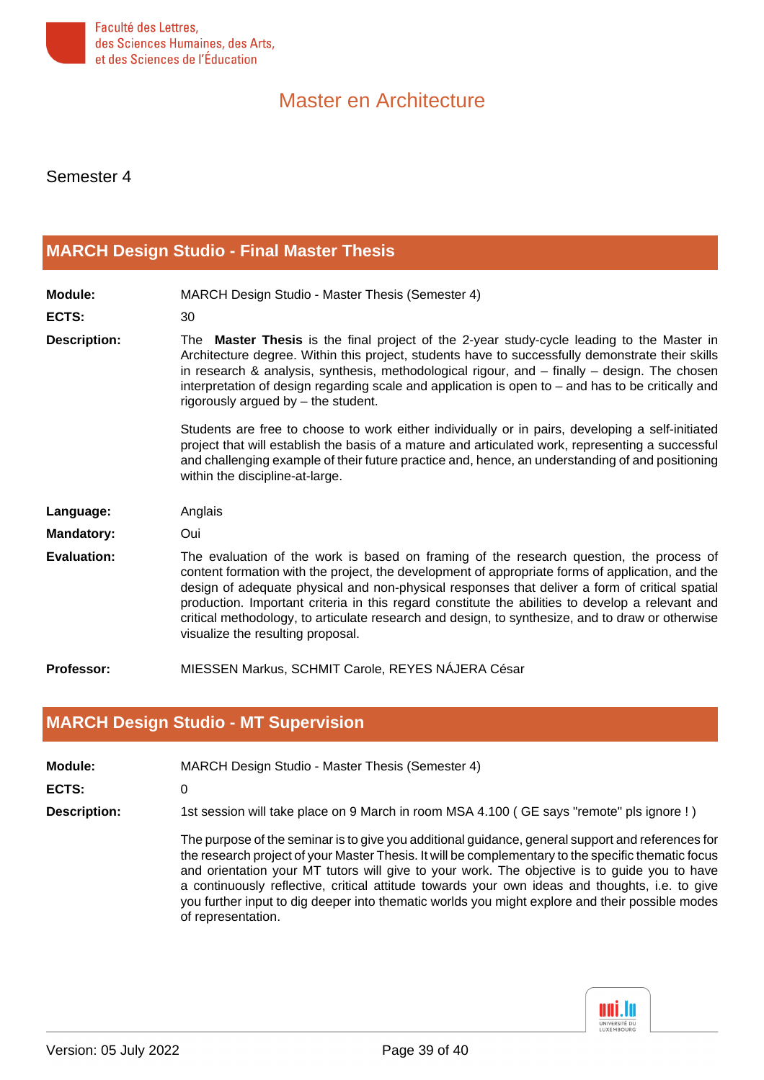

Semester 4

#### <span id="page-38-0"></span>**[MARCH Design Studio - Final Master Thesis](#page-2-5)**

| <b>Module:</b>      | MARCH Design Studio - Master Thesis (Semester 4)                                                                                                                                                                                                                                                                                                                                                                                                                                                                                           |
|---------------------|--------------------------------------------------------------------------------------------------------------------------------------------------------------------------------------------------------------------------------------------------------------------------------------------------------------------------------------------------------------------------------------------------------------------------------------------------------------------------------------------------------------------------------------------|
| ECTS:               | 30                                                                                                                                                                                                                                                                                                                                                                                                                                                                                                                                         |
| <b>Description:</b> | The <b>Master Thesis</b> is the final project of the 2-year study-cycle leading to the Master in<br>Architecture degree. Within this project, students have to successfully demonstrate their skills<br>in research & analysis, synthesis, methodological rigour, and $-$ finally $-$ design. The chosen<br>interpretation of design regarding scale and application is open to $-$ and has to be critically and<br>rigorously argued by - the student.                                                                                    |
|                     | Students are free to choose to work either individually or in pairs, developing a self-initiated<br>project that will establish the basis of a mature and articulated work, representing a successful<br>and challenging example of their future practice and, hence, an understanding of and positioning<br>within the discipline-at-large.                                                                                                                                                                                               |
| Language:           | Anglais                                                                                                                                                                                                                                                                                                                                                                                                                                                                                                                                    |
| <b>Mandatory:</b>   | Oui                                                                                                                                                                                                                                                                                                                                                                                                                                                                                                                                        |
| <b>Evaluation:</b>  | The evaluation of the work is based on framing of the research question, the process of<br>content formation with the project, the development of appropriate forms of application, and the<br>design of adequate physical and non-physical responses that deliver a form of critical spatial<br>production. Important criteria in this regard constitute the abilities to develop a relevant and<br>critical methodology, to articulate research and design, to synthesize, and to draw or otherwise<br>visualize the resulting proposal. |
| <b>Professor:</b>   | MIESSEN Markus, SCHMIT Carole, REYES NÁJERA César                                                                                                                                                                                                                                                                                                                                                                                                                                                                                          |

#### <span id="page-38-1"></span>**[MARCH Design Studio - MT Supervision](#page-2-6)**

|  | Module: | MARCH Design Studio - Master Thesis (Semester 4) |  |  |  |  |
|--|---------|--------------------------------------------------|--|--|--|--|
|--|---------|--------------------------------------------------|--|--|--|--|

**ECTS:** 0

**Description:** 1st session will take place on 9 March in room MSA 4.100 ( GE says "remote" pls ignore ! )

The purpose of the seminar is to give you additional guidance, general support and references for the research project of your Master Thesis. It will be complementary to the specific thematic focus and orientation your MT tutors will give to your work. The objective is to guide you to have a continuously reflective, critical attitude towards your own ideas and thoughts, i.e. to give you further input to dig deeper into thematic worlds you might explore and their possible modes of representation.